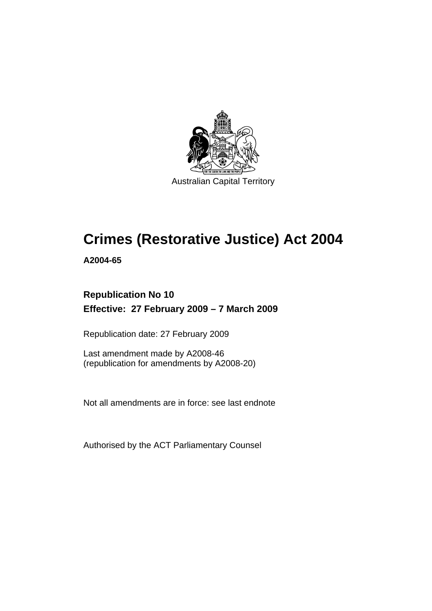

Australian Capital Territory

# **[Crimes \(Restorative Justice\) Act 2004](#page-8-0)**

**A2004-65** 

### **Republication No 10 Effective: 27 February 2009 – 7 March 2009**

Republication date: 27 February 2009

Last amendment made by A2008-46 (republication for amendments by A2008-20)

Not all amendments are in force: see last endnote

Authorised by the ACT Parliamentary Counsel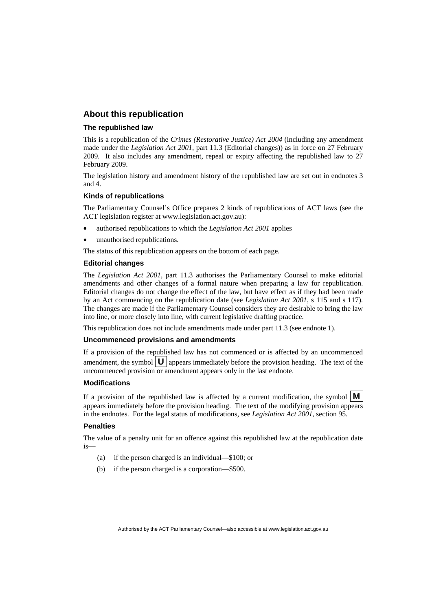#### **About this republication**

#### **The republished law**

This is a republication of the *Crimes (Restorative Justice) Act 2004* (including any amendment made under the *Legislation Act 2001*, part 11.3 (Editorial changes)) as in force on 27 February 2009*.* It also includes any amendment, repeal or expiry affecting the republished law to 27 February 2009.

The legislation history and amendment history of the republished law are set out in endnotes 3 and 4.

#### **Kinds of republications**

The Parliamentary Counsel's Office prepares 2 kinds of republications of ACT laws (see the ACT legislation register at www.legislation.act.gov.au):

- authorised republications to which the *Legislation Act 2001* applies
- unauthorised republications.

The status of this republication appears on the bottom of each page.

#### **Editorial changes**

The *Legislation Act 2001*, part 11.3 authorises the Parliamentary Counsel to make editorial amendments and other changes of a formal nature when preparing a law for republication. Editorial changes do not change the effect of the law, but have effect as if they had been made by an Act commencing on the republication date (see *Legislation Act 2001*, s 115 and s 117). The changes are made if the Parliamentary Counsel considers they are desirable to bring the law into line, or more closely into line, with current legislative drafting practice.

This republication does not include amendments made under part 11.3 (see endnote 1).

#### **Uncommenced provisions and amendments**

If a provision of the republished law has not commenced or is affected by an uncommenced amendment, the symbol  $\mathbf{U}$  appears immediately before the provision heading. The text of the uncommenced provision  $\overline{or}$  amendment appears only in the last endnote.

#### **Modifications**

If a provision of the republished law is affected by a current modification, the symbol  $\mathbf{M}$ appears immediately before the provision heading. The text of the modifying provision appears in the endnotes. For the legal status of modifications, see *Legislation Act 2001*, section 95.

#### **Penalties**

The value of a penalty unit for an offence against this republished law at the republication date is—

- (a) if the person charged is an individual—\$100; or
- (b) if the person charged is a corporation—\$500.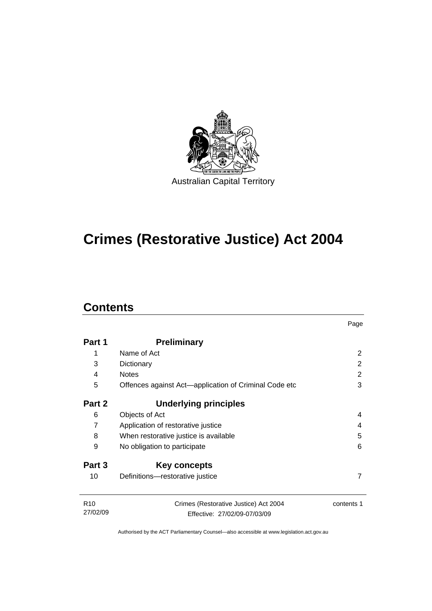

# **[Crimes \(Restorative Justice\) Act 2004](#page-8-0)**

### **Contents**

|                             |                                                                       | Page          |  |
|-----------------------------|-----------------------------------------------------------------------|---------------|--|
| Part 1                      | <b>Preliminary</b>                                                    |               |  |
| 1                           | Name of Act                                                           | 2             |  |
| 3                           | Dictionary                                                            | $\mathcal{P}$ |  |
| 4                           | <b>Notes</b>                                                          | 2             |  |
| 5                           | Offences against Act-application of Criminal Code etc                 | 3             |  |
| Part 2                      | Underlying principles                                                 |               |  |
| 6                           | Objects of Act                                                        | 4             |  |
| 7                           | Application of restorative justice                                    | 4             |  |
| 8                           | 5<br>When restorative justice is available                            |               |  |
| 9                           | No obligation to participate                                          |               |  |
| Part 3                      | Key concepts                                                          |               |  |
| 10                          | Definitions-restorative justice                                       | 7             |  |
| R <sub>10</sub><br>27/02/09 | Crimes (Restorative Justice) Act 2004<br>Effective: 27/02/09-07/03/09 | contents 1    |  |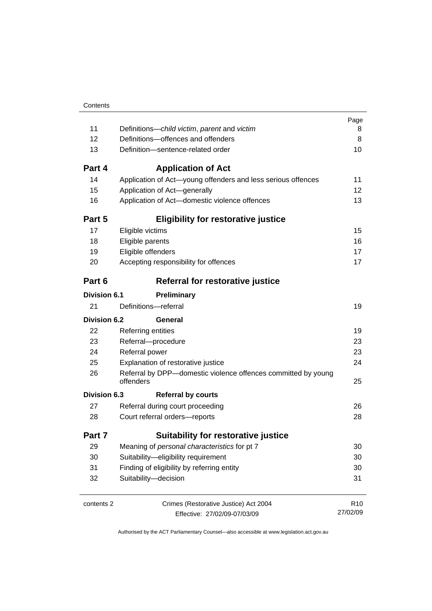|                     |                                                                            | Page<br>8       |  |
|---------------------|----------------------------------------------------------------------------|-----------------|--|
| 11                  | Definitions-child victim, parent and victim                                |                 |  |
| 12                  | Definitions-offences and offenders                                         |                 |  |
| 13                  | Definition-sentence-related order                                          |                 |  |
| Part 4              | <b>Application of Act</b>                                                  |                 |  |
| 14                  | Application of Act-young offenders and less serious offences               | 11              |  |
| 15                  | Application of Act-generally                                               | 12              |  |
| 16                  | Application of Act-domestic violence offences                              | 13              |  |
| Part 5              | <b>Eligibility for restorative justice</b>                                 |                 |  |
| 17                  | Eligible victims                                                           | 15              |  |
| 18                  | Eligible parents                                                           | 16              |  |
| 19                  | Eligible offenders                                                         | 17              |  |
| 20                  | Accepting responsibility for offences                                      | 17              |  |
| Part 6              | Referral for restorative justice                                           |                 |  |
| <b>Division 6.1</b> | <b>Preliminary</b>                                                         |                 |  |
| 21                  | Definitions-referral                                                       | 19              |  |
| <b>Division 6.2</b> | General                                                                    |                 |  |
| 22                  | <b>Referring entities</b>                                                  | 19              |  |
| 23                  | Referral-procedure                                                         |                 |  |
| 24                  | Referral power                                                             | 23              |  |
| 25                  | Explanation of restorative justice                                         | 24              |  |
| 26                  | Referral by DPP-domestic violence offences committed by young<br>offenders | 25              |  |
| Division 6.3        | <b>Referral by courts</b>                                                  |                 |  |
| 27                  | Referral during court proceeding                                           | 26              |  |
| 28                  | Court referral orders-reports                                              |                 |  |
| Part 7              | <b>Suitability for restorative justice</b>                                 |                 |  |
| 29                  | Meaning of personal characteristics for pt 7                               | 30              |  |
| 30                  | Suitability-eligibility requirement                                        |                 |  |
| 31                  | Finding of eligibility by referring entity                                 |                 |  |
| 32                  | Suitability-decision                                                       | 31              |  |
| contents 2          | Crimes (Restorative Justice) Act 2004                                      | R <sub>10</sub> |  |
|                     | Effective: 27/02/09-07/03/09                                               | 27/02/09        |  |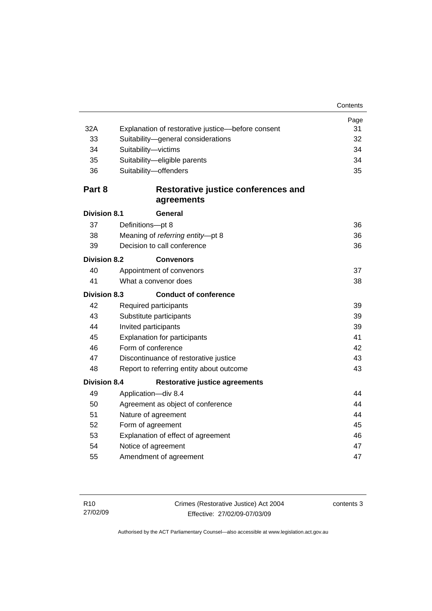|                     |                                                   | Page |  |
|---------------------|---------------------------------------------------|------|--|
| 32A                 | Explanation of restorative justice-before consent | 31   |  |
| 33                  | Suitability-general considerations                | 32   |  |
| 34                  | Suitability-victims                               | 34   |  |
| 35                  | Suitability-eligible parents                      | 34   |  |
| 36                  | Suitability-offenders                             | 35   |  |
| Part 8              | Restorative justice conferences and               |      |  |
|                     | agreements                                        |      |  |
| <b>Division 8.1</b> | General                                           |      |  |
| 37                  | Definitions-pt 8                                  | 36   |  |
| 38                  | Meaning of referring entity-pt 8                  | 36   |  |
| 39                  | Decision to call conference                       | 36   |  |
| <b>Division 8.2</b> | <b>Convenors</b>                                  |      |  |
| 40                  | Appointment of convenors                          | 37   |  |
| 41                  | What a convenor does                              | 38   |  |
| <b>Division 8.3</b> | <b>Conduct of conference</b>                      |      |  |
| 42                  | Required participants                             | 39   |  |
| 43                  | Substitute participants                           |      |  |
| 44                  | Invited participants<br>39                        |      |  |
| 45                  | <b>Explanation for participants</b>               |      |  |
| 46                  | Form of conference                                |      |  |
| 47                  | Discontinuance of restorative justice             |      |  |
| 48                  | 43<br>Report to referring entity about outcome    |      |  |
| <b>Division 8.4</b> | <b>Restorative justice agreements</b>             |      |  |
| 49                  | Application-div 8.4                               | 44   |  |
| 50                  | Agreement as object of conference                 |      |  |
| 51                  | Nature of agreement                               |      |  |
| 52                  | Form of agreement                                 |      |  |
| 53                  | Explanation of effect of agreement                |      |  |
| 54                  | Notice of agreement                               |      |  |
| 55                  | Amendment of agreement                            | 47   |  |
|                     |                                                   |      |  |

contents 3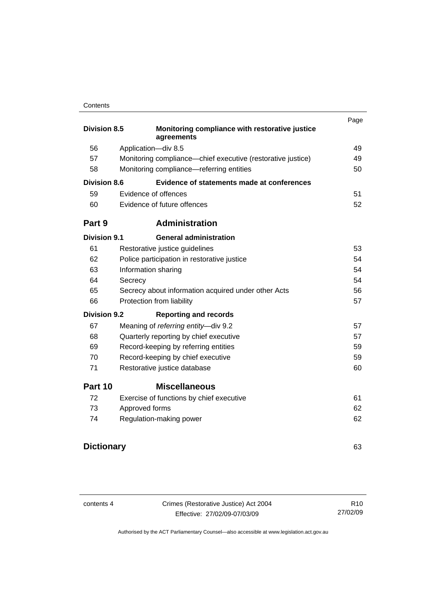#### **Contents**

| <b>Division 8.5</b> | Monitoring compliance with restorative justice              | Page |  |
|---------------------|-------------------------------------------------------------|------|--|
|                     | agreements                                                  |      |  |
| 56                  | Application-div 8.5                                         | 49   |  |
| 57                  | Monitoring compliance—chief executive (restorative justice) | 49   |  |
| 58                  | Monitoring compliance—referring entities                    | 50   |  |
| <b>Division 8.6</b> | Evidence of statements made at conferences                  |      |  |
| 59                  | Evidence of offences                                        | 51   |  |
| 60                  | Evidence of future offences                                 | 52   |  |
| Part 9              | <b>Administration</b>                                       |      |  |
| <b>Division 9.1</b> | <b>General administration</b>                               |      |  |
| 61                  | Restorative justice guidelines                              | 53   |  |
| 62                  | Police participation in restorative justice                 | 54   |  |
| 63                  | Information sharing<br>54                                   |      |  |
| 64                  | Secrecy                                                     | 54   |  |
| 65                  | Secrecy about information acquired under other Acts         |      |  |
| 66                  | Protection from liability                                   | 57   |  |
| <b>Division 9.2</b> | <b>Reporting and records</b>                                |      |  |
| 67                  | Meaning of referring entity-div 9.2                         | 57   |  |
| 68                  | Quarterly reporting by chief executive                      | 57   |  |
| 69                  | Record-keeping by referring entities                        | 59   |  |
| 70                  | Record-keeping by chief executive                           | 59   |  |
| 71                  | Restorative justice database                                | 60   |  |
| Part 10             | <b>Miscellaneous</b>                                        |      |  |
| 72                  | Exercise of functions by chief executive                    | 61   |  |
| 73                  | Approved forms                                              | 62   |  |
| 74                  | Regulation-making power                                     | 62   |  |
|                     |                                                             |      |  |

## **Dictionary** [63](#page-70-0)

contents 4 Crimes (Restorative Justice) Act 2004 Effective: 27/02/09-07/03/09

R10 27/02/09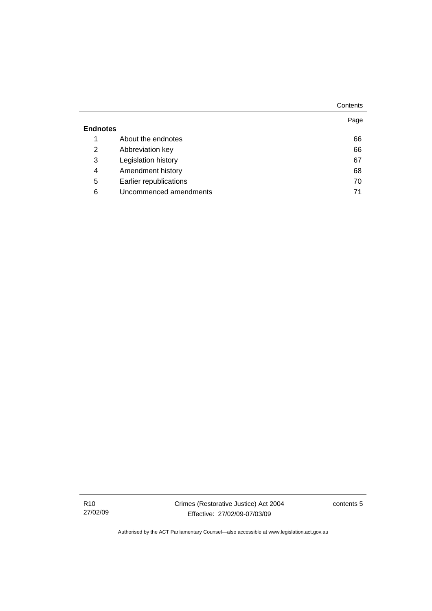|                 |                        | Contents |
|-----------------|------------------------|----------|
|                 |                        | Page     |
| <b>Endnotes</b> |                        |          |
| 1               | About the endnotes     | 66       |
| 2               | Abbreviation key       | 66       |
| 3               | Legislation history    | 67       |
| 4               | Amendment history      | 68       |
| 5               | Earlier republications | 70       |
| 6               | Uncommenced amendments | 71       |
|                 |                        |          |

R10 27/02/09 contents 5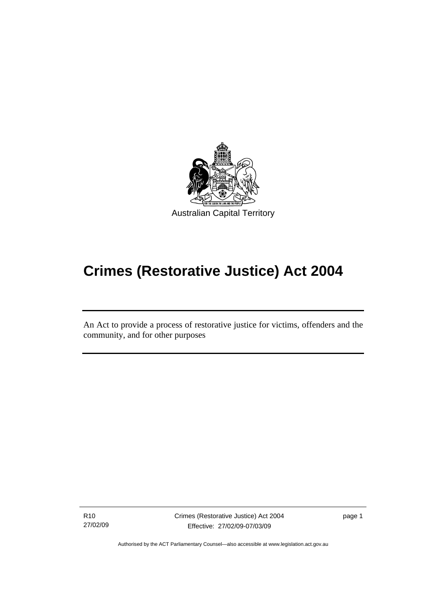<span id="page-8-0"></span>

# **Crimes (Restorative Justice) Act 2004**

An Act to provide a process of restorative justice for victims, offenders and the community, and for other purposes

R10 27/02/09

Ī

Crimes (Restorative Justice) Act 2004 Effective: 27/02/09-07/03/09

page 1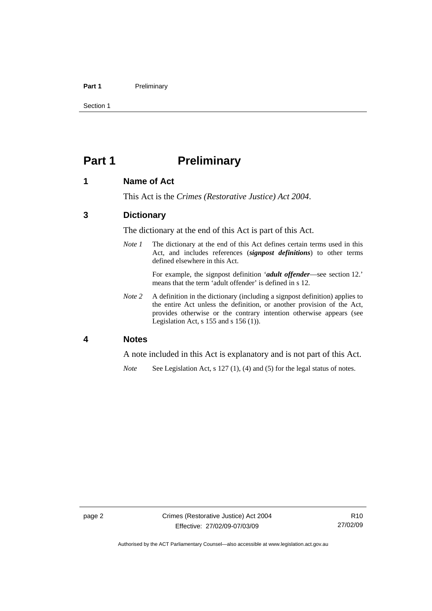#### <span id="page-9-0"></span>Part 1 **Preliminary**

Section 1

### **Part 1** Preliminary

#### **1 Name of Act**

This Act is the *Crimes (Restorative Justice) Act 2004*.

#### **3 Dictionary**

The dictionary at the end of this Act is part of this Act.

*Note 1* The dictionary at the end of this Act defines certain terms used in this Act, and includes references (*signpost definitions*) to other terms defined elsewhere in this Act.

> For example, the signpost definition '*adult offender*—see section 12.' means that the term 'adult offender' is defined in s 12.

*Note 2* A definition in the dictionary (including a signpost definition) applies to the entire Act unless the definition, or another provision of the Act, provides otherwise or the contrary intention otherwise appears (see Legislation Act, s 155 and s 156 (1)).

#### **4 Notes**

A note included in this Act is explanatory and is not part of this Act.

*Note* See Legislation Act, s 127 (1), (4) and (5) for the legal status of notes.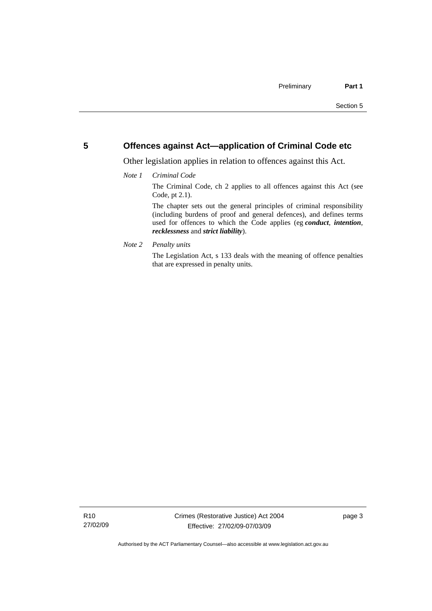#### <span id="page-10-0"></span>**5 Offences against Act—application of Criminal Code etc**

Other legislation applies in relation to offences against this Act.

#### *Note 1 Criminal Code*

The Criminal Code, ch 2 applies to all offences against this Act (see Code, pt 2.1).

The chapter sets out the general principles of criminal responsibility (including burdens of proof and general defences), and defines terms used for offences to which the Code applies (eg *conduct*, *intention*, *recklessness* and *strict liability*).

*Note 2 Penalty units* 

The Legislation Act, s 133 deals with the meaning of offence penalties that are expressed in penalty units.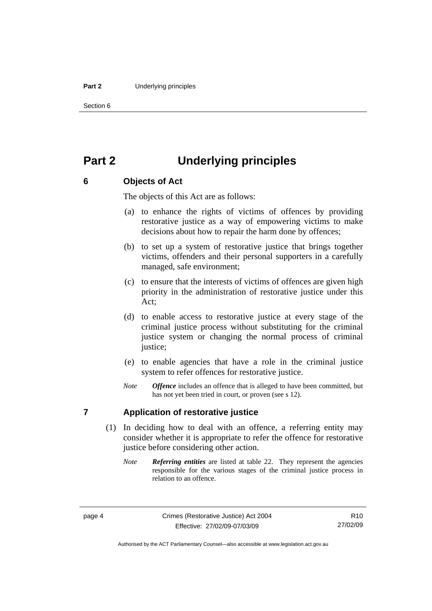#### <span id="page-11-0"></span>**Part 2** Underlying principles

Section 6

## **Part 2 Underlying principles**

#### **6 Objects of Act**

The objects of this Act are as follows:

- (a) to enhance the rights of victims of offences by providing restorative justice as a way of empowering victims to make decisions about how to repair the harm done by offences;
- (b) to set up a system of restorative justice that brings together victims, offenders and their personal supporters in a carefully managed, safe environment;
- (c) to ensure that the interests of victims of offences are given high priority in the administration of restorative justice under this Act;
- (d) to enable access to restorative justice at every stage of the criminal justice process without substituting for the criminal justice system or changing the normal process of criminal justice;
- (e) to enable agencies that have a role in the criminal justice system to refer offences for restorative justice.
- *Note Offence* includes an offence that is alleged to have been committed, but has not yet been tried in court, or proven (see s 12).

#### **7 Application of restorative justice**

- (1) In deciding how to deal with an offence, a referring entity may consider whether it is appropriate to refer the offence for restorative justice before considering other action.
	- *Note Referring entities* are listed at table 22. They represent the agencies responsible for the various stages of the criminal justice process in relation to an offence.

Authorised by the ACT Parliamentary Counsel—also accessible at www.legislation.act.gov.au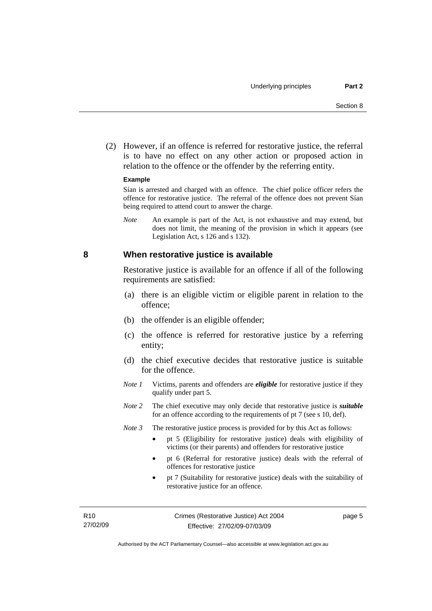<span id="page-12-0"></span> (2) However, if an offence is referred for restorative justice, the referral is to have no effect on any other action or proposed action in relation to the offence or the offender by the referring entity.

#### **Example**

Sían is arrested and charged with an offence. The chief police officer refers the offence for restorative justice. The referral of the offence does not prevent Sían being required to attend court to answer the charge.

*Note* An example is part of the Act, is not exhaustive and may extend, but does not limit, the meaning of the provision in which it appears (see Legislation Act, s 126 and s 132).

#### **8 When restorative justice is available**

Restorative justice is available for an offence if all of the following requirements are satisfied:

- (a) there is an eligible victim or eligible parent in relation to the offence;
- (b) the offender is an eligible offender;
- (c) the offence is referred for restorative justice by a referring entity;
- (d) the chief executive decides that restorative justice is suitable for the offence.
- *Note 1* Victims, parents and offenders are *eligible* for restorative justice if they qualify under part 5.
- *Note 2* The chief executive may only decide that restorative justice is *suitable*  for an offence according to the requirements of pt 7 (see s 10, def).
- *Note 3* The restorative justice process is provided for by this Act as follows:
	- pt 5 (Eligibility for restorative justice) deals with eligibility of victims (or their parents) and offenders for restorative justice
	- pt 6 (Referral for restorative justice) deals with the referral of offences for restorative justice
	- pt 7 (Suitability for restorative justice) deals with the suitability of restorative justice for an offence.

page 5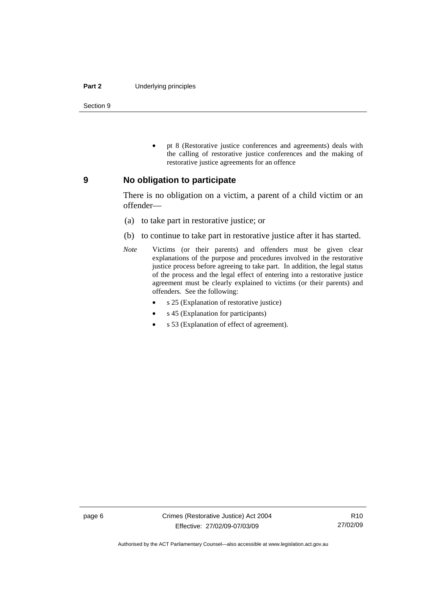#### <span id="page-13-0"></span>**Part 2** Underlying principles

Section 9

• pt 8 (Restorative justice conferences and agreements) deals with the calling of restorative justice conferences and the making of restorative justice agreements for an offence

#### **9 No obligation to participate**

There is no obligation on a victim, a parent of a child victim or an offender—

- (a) to take part in restorative justice; or
- (b) to continue to take part in restorative justice after it has started.
- *Note* Victims (or their parents) and offenders must be given clear explanations of the purpose and procedures involved in the restorative justice process before agreeing to take part. In addition, the legal status of the process and the legal effect of entering into a restorative justice agreement must be clearly explained to victims (or their parents) and offenders. See the following:
	- s 25 (Explanation of restorative justice)
	- s 45 (Explanation for participants)
	- s 53 (Explanation of effect of agreement).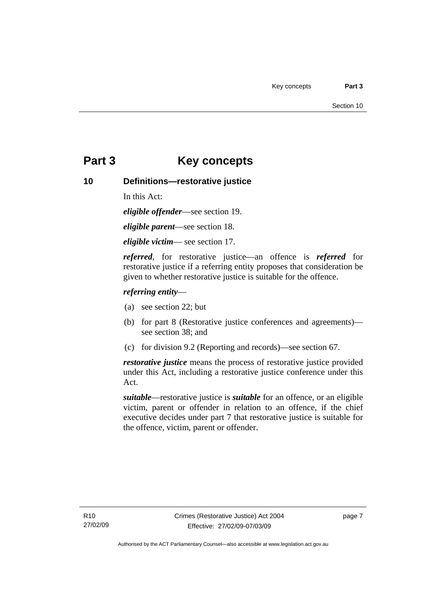### <span id="page-14-0"></span>**Part 3 Key concepts**

#### **10 Definitions—restorative justice**

In this Act:

*eligible offender*—see section 19.

*eligible parent*—see section 18.

*eligible victim*— see section 17.

*referred*, for restorative justice—an offence is *referred* for restorative justice if a referring entity proposes that consideration be given to whether restorative justice is suitable for the offence.

#### *referring entity*—

- (a) see section 22; but
- (b) for part 8 (Restorative justice conferences and agreements) see section 38; and
- (c) for division 9.2 (Reporting and records)—see section 67.

*restorative justice* means the process of restorative justice provided under this Act, including a restorative justice conference under this Act.

*suitable*—restorative justice is *suitable* for an offence, or an eligible victim, parent or offender in relation to an offence, if the chief executive decides under part 7 that restorative justice is suitable for the offence, victim, parent or offender.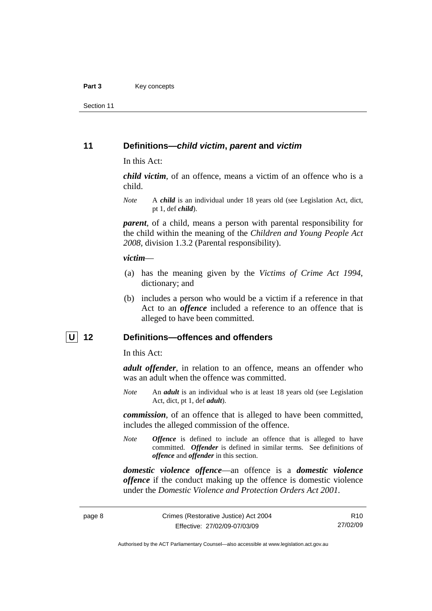<span id="page-15-0"></span>Section 11

#### **11 Definitions—***child victim***,** *parent* **and** *victim*

In this Act:

*child victim*, of an offence, means a victim of an offence who is a child.

*Note* A *child* is an individual under 18 years old (see Legislation Act, dict, pt 1, def *child*).

*parent*, of a child, means a person with parental responsibility for the child within the meaning of the *Children and Young People Act 2008*, division 1.3.2 (Parental responsibility).

#### *victim*—

- (a) has the meaning given by the *Victims of Crime Act 1994*, dictionary; and
- (b) includes a person who would be a victim if a reference in that Act to an *offence* included a reference to an offence that is alleged to have been committed.

#### **U 12 Definitions—offences and offenders**

In this Act:

*adult offender*, in relation to an offence, means an offender who was an adult when the offence was committed.

*Note* An *adult* is an individual who is at least 18 years old (see Legislation Act, dict, pt 1, def *adult*).

*commission*, of an offence that is alleged to have been committed, includes the alleged commission of the offence.

*Note Offence* is defined to include an offence that is alleged to have committed. *Offender* is defined in similar terms. See definitions of *offence* and *offender* in this section.

*domestic violence offence*—an offence is a *domestic violence offence* if the conduct making up the offence is domestic violence under the *Domestic Violence and Protection Orders Act 2001*.

R10 27/02/09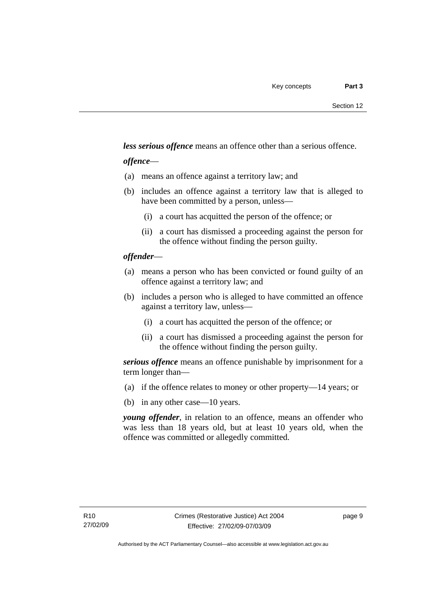*less serious offence* means an offence other than a serious offence.

#### *offence*—

- (a) means an offence against a territory law; and
- (b) includes an offence against a territory law that is alleged to have been committed by a person, unless—
	- (i) a court has acquitted the person of the offence; or
	- (ii) a court has dismissed a proceeding against the person for the offence without finding the person guilty.

#### *offender*—

- (a) means a person who has been convicted or found guilty of an offence against a territory law; and
- (b) includes a person who is alleged to have committed an offence against a territory law, unless—
	- (i) a court has acquitted the person of the offence; or
	- (ii) a court has dismissed a proceeding against the person for the offence without finding the person guilty.

*serious offence* means an offence punishable by imprisonment for a term longer than—

- (a) if the offence relates to money or other property—14 years; or
- (b) in any other case—10 years.

*young offender*, in relation to an offence, means an offender who was less than 18 years old, but at least 10 years old, when the offence was committed or allegedly committed.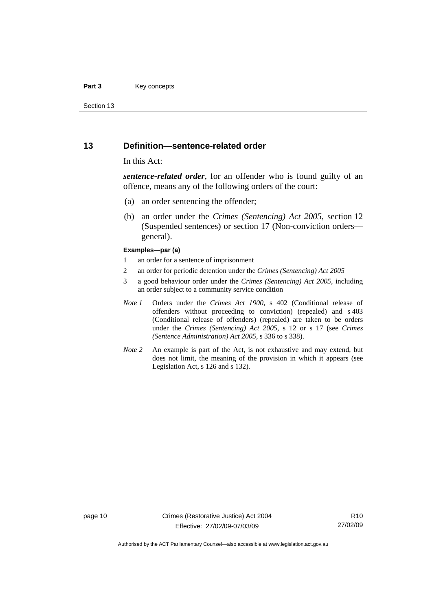#### <span id="page-17-0"></span>**Part 3** Key concepts

Section 13

#### **13 Definition—sentence-related order**

#### In this Act:

*sentence-related order*, for an offender who is found guilty of an offence, means any of the following orders of the court:

- (a) an order sentencing the offender;
- (b) an order under the *Crimes (Sentencing) Act 2005*, section 12 (Suspended sentences) or section 17 (Non-conviction orders general).

#### **Examples—par (a)**

- 1 an order for a sentence of imprisonment
- 2 an order for periodic detention under the *Crimes (Sentencing) Act 2005*
- 3 a good behaviour order under the *Crimes (Sentencing) Act 2005*, including an order subject to a community service condition
- *Note 1* Orders under the *Crimes Act 1900*, s 402 (Conditional release of offenders without proceeding to conviction) (repealed) and s 403 (Conditional release of offenders) (repealed) are taken to be orders under the *Crimes (Sentencing) Act 2005*, s 12 or s 17 (see *Crimes (Sentence Administration) Act 2005*, s 336 to s 338).
- *Note 2* An example is part of the Act, is not exhaustive and may extend, but does not limit, the meaning of the provision in which it appears (see Legislation Act, s 126 and s 132).

page 10 Crimes (Restorative Justice) Act 2004 Effective: 27/02/09-07/03/09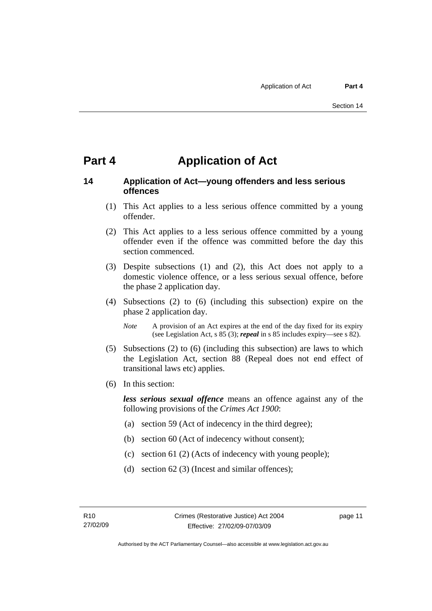### <span id="page-18-0"></span>**Part 4 Application of Act**

#### **14 Application of Act—young offenders and less serious offences**

- (1) This Act applies to a less serious offence committed by a young offender.
- (2) This Act applies to a less serious offence committed by a young offender even if the offence was committed before the day this section commenced.
- (3) Despite subsections (1) and (2), this Act does not apply to a domestic violence offence, or a less serious sexual offence, before the phase 2 application day.
- (4) Subsections (2) to (6) (including this subsection) expire on the phase 2 application day.
	- *Note* A provision of an Act expires at the end of the day fixed for its expiry (see Legislation Act, s 85 (3); *repeal* in s 85 includes expiry—see s 82).
- (5) Subsections (2) to (6) (including this subsection) are laws to which the Legislation Act, section 88 (Repeal does not end effect of transitional laws etc) applies.
- (6) In this section:

*less serious sexual offence* means an offence against any of the following provisions of the *Crimes Act 1900*:

- (a) section 59 (Act of indecency in the third degree);
- (b) section 60 (Act of indecency without consent);
- (c) section 61 (2) (Acts of indecency with young people);
- (d) section 62 (3) (Incest and similar offences);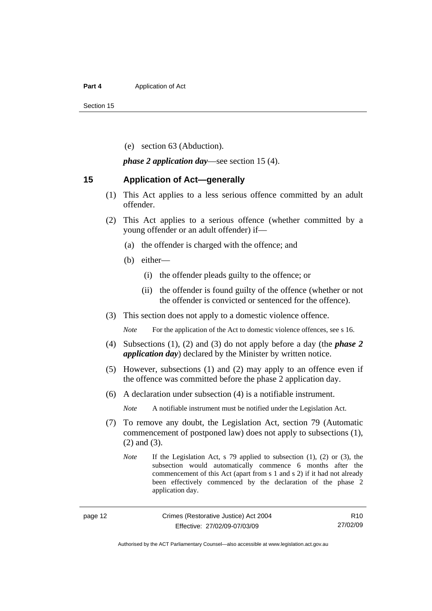#### <span id="page-19-0"></span>**Part 4 Application of Act**

Section 15

(e) section 63 (Abduction).

*phase 2 application day*—see section 15 (4).

#### **15 Application of Act—generally**

- (1) This Act applies to a less serious offence committed by an adult offender.
- (2) This Act applies to a serious offence (whether committed by a young offender or an adult offender) if—
	- (a) the offender is charged with the offence; and
	- (b) either—
		- (i) the offender pleads guilty to the offence; or
		- (ii) the offender is found guilty of the offence (whether or not the offender is convicted or sentenced for the offence).
- (3) This section does not apply to a domestic violence offence.

*Note* For the application of the Act to domestic violence offences, see s 16.

- (4) Subsections (1), (2) and (3) do not apply before a day (the *phase 2 application day*) declared by the Minister by written notice.
- (5) However, subsections (1) and (2) may apply to an offence even if the offence was committed before the phase 2 application day.
- (6) A declaration under subsection (4) is a notifiable instrument.

*Note* A notifiable instrument must be notified under the Legislation Act.

- (7) To remove any doubt, the Legislation Act, section 79 (Automatic commencement of postponed law) does not apply to subsections (1), (2) and (3).
	- *Note* If the Legislation Act, s 79 applied to subsection (1), (2) or (3), the subsection would automatically commence 6 months after the commencement of this Act (apart from s 1 and s 2) if it had not already been effectively commenced by the declaration of the phase 2 application day.

R10 27/02/09

Authorised by the ACT Parliamentary Counsel—also accessible at www.legislation.act.gov.au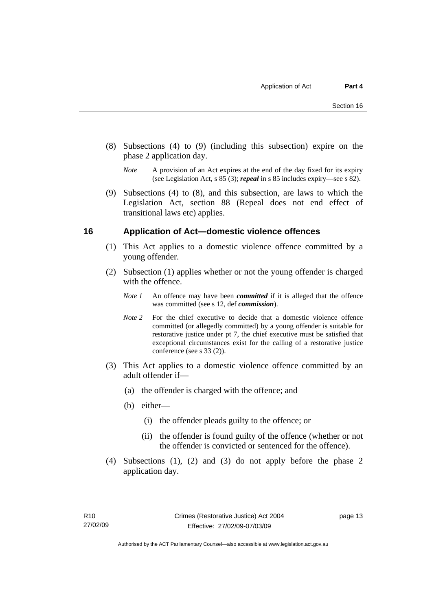- <span id="page-20-0"></span> (8) Subsections (4) to (9) (including this subsection) expire on the phase 2 application day.
	- *Note* A provision of an Act expires at the end of the day fixed for its expiry (see Legislation Act, s 85 (3); *repeal* in s 85 includes expiry—see s 82).
- (9) Subsections (4) to (8), and this subsection, are laws to which the Legislation Act, section 88 (Repeal does not end effect of transitional laws etc) applies.

#### **16 Application of Act—domestic violence offences**

- (1) This Act applies to a domestic violence offence committed by a young offender.
- (2) Subsection (1) applies whether or not the young offender is charged with the offence.
	- *Note 1* An offence may have been *committed* if it is alleged that the offence was committed (see s 12, def *commission*).
	- *Note* 2 For the chief executive to decide that a domestic violence offence committed (or allegedly committed) by a young offender is suitable for restorative justice under pt 7, the chief executive must be satisfied that exceptional circumstances exist for the calling of a restorative justice conference (see s 33 (2)).
- (3) This Act applies to a domestic violence offence committed by an adult offender if—
	- (a) the offender is charged with the offence; and
	- (b) either—
		- (i) the offender pleads guilty to the offence; or
		- (ii) the offender is found guilty of the offence (whether or not the offender is convicted or sentenced for the offence).
- (4) Subsections (1), (2) and (3) do not apply before the phase 2 application day.

page 13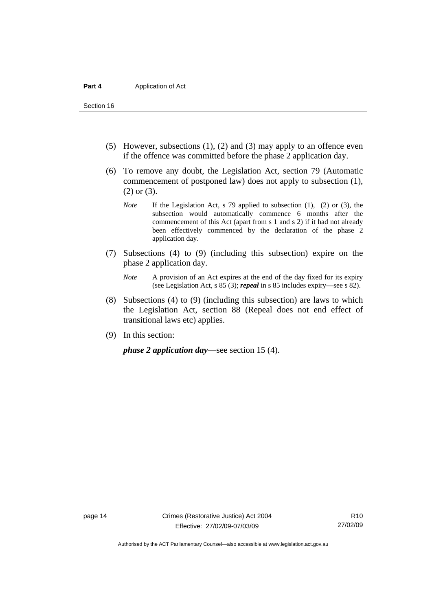Section 16

- (5) However, subsections (1), (2) and (3) may apply to an offence even if the offence was committed before the phase 2 application day.
- (6) To remove any doubt, the Legislation Act, section 79 (Automatic commencement of postponed law) does not apply to subsection (1), (2) or (3).
	- *Note* If the Legislation Act, s 79 applied to subsection (1), (2) or (3), the subsection would automatically commence 6 months after the commencement of this Act (apart from s 1 and s 2) if it had not already been effectively commenced by the declaration of the phase 2 application day.
- (7) Subsections (4) to (9) (including this subsection) expire on the phase 2 application day.
	- *Note* A provision of an Act expires at the end of the day fixed for its expiry (see Legislation Act, s 85 (3); *repeal* in s 85 includes expiry—see s 82).
- (8) Subsections (4) to (9) (including this subsection) are laws to which the Legislation Act, section 88 (Repeal does not end effect of transitional laws etc) applies.
- (9) In this section:

*phase 2 application day*—see section 15 (4).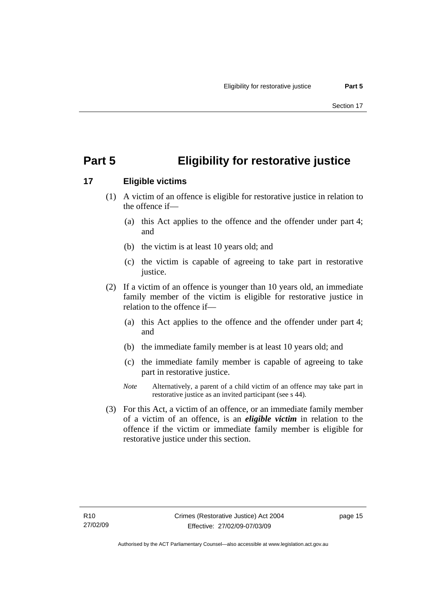## <span id="page-22-0"></span>**Part 5 Eligibility for restorative justice**

### **17 Eligible victims**

- (1) A victim of an offence is eligible for restorative justice in relation to the offence if—
	- (a) this Act applies to the offence and the offender under part 4; and
	- (b) the victim is at least 10 years old; and
	- (c) the victim is capable of agreeing to take part in restorative justice.
- (2) If a victim of an offence is younger than 10 years old, an immediate family member of the victim is eligible for restorative justice in relation to the offence if—
	- (a) this Act applies to the offence and the offender under part 4; and
	- (b) the immediate family member is at least 10 years old; and
	- (c) the immediate family member is capable of agreeing to take part in restorative justice.
	- *Note* Alternatively, a parent of a child victim of an offence may take part in restorative justice as an invited participant (see s 44).
- (3) For this Act, a victim of an offence, or an immediate family member of a victim of an offence, is an *eligible victim* in relation to the offence if the victim or immediate family member is eligible for restorative justice under this section.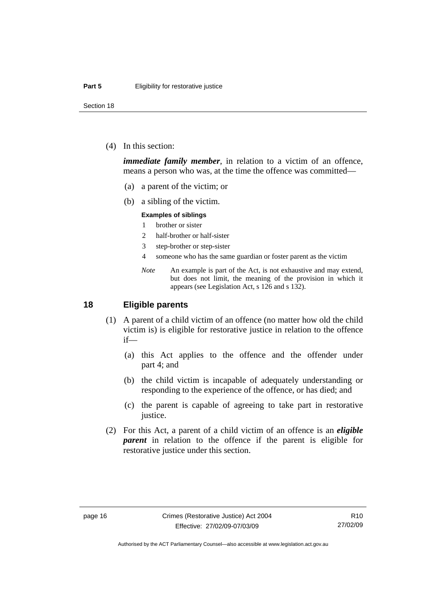<span id="page-23-0"></span>Section 18

(4) In this section:

*immediate family member*, in relation to a victim of an offence, means a person who was, at the time the offence was committed—

- (a) a parent of the victim; or
- (b) a sibling of the victim.

#### **Examples of siblings**

- 1 brother or sister
- 2 half-brother or half-sister
- 3 step-brother or step-sister
- 4 someone who has the same guardian or foster parent as the victim
- *Note* An example is part of the Act, is not exhaustive and may extend, but does not limit, the meaning of the provision in which it appears (see Legislation Act, s 126 and s 132).

#### **18 Eligible parents**

- (1) A parent of a child victim of an offence (no matter how old the child victim is) is eligible for restorative justice in relation to the offence if—
	- (a) this Act applies to the offence and the offender under part 4; and
	- (b) the child victim is incapable of adequately understanding or responding to the experience of the offence, or has died; and
	- (c) the parent is capable of agreeing to take part in restorative justice.
- (2) For this Act, a parent of a child victim of an offence is an *eligible parent* in relation to the offence if the parent is eligible for restorative justice under this section.

Authorised by the ACT Parliamentary Counsel—also accessible at www.legislation.act.gov.au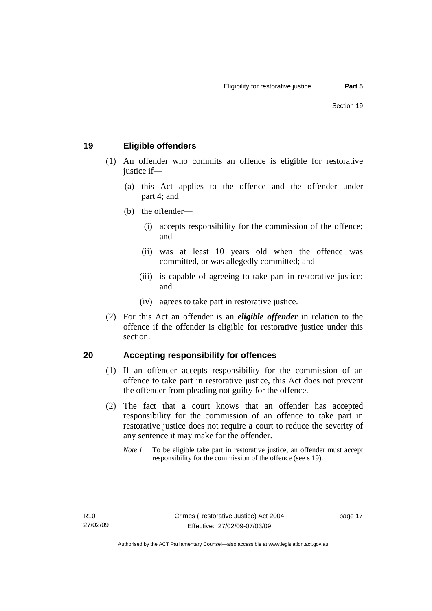#### <span id="page-24-0"></span>**19 Eligible offenders**

- (1) An offender who commits an offence is eligible for restorative justice if-
	- (a) this Act applies to the offence and the offender under part 4; and
	- (b) the offender—
		- (i) accepts responsibility for the commission of the offence; and
		- (ii) was at least 10 years old when the offence was committed, or was allegedly committed; and
		- (iii) is capable of agreeing to take part in restorative justice; and
		- (iv) agrees to take part in restorative justice.
- (2) For this Act an offender is an *eligible offender* in relation to the offence if the offender is eligible for restorative justice under this section.

#### **20 Accepting responsibility for offences**

- (1) If an offender accepts responsibility for the commission of an offence to take part in restorative justice, this Act does not prevent the offender from pleading not guilty for the offence.
- (2) The fact that a court knows that an offender has accepted responsibility for the commission of an offence to take part in restorative justice does not require a court to reduce the severity of any sentence it may make for the offender.
	- *Note 1* To be eligible take part in restorative justice, an offender must accept responsibility for the commission of the offence (see s 19).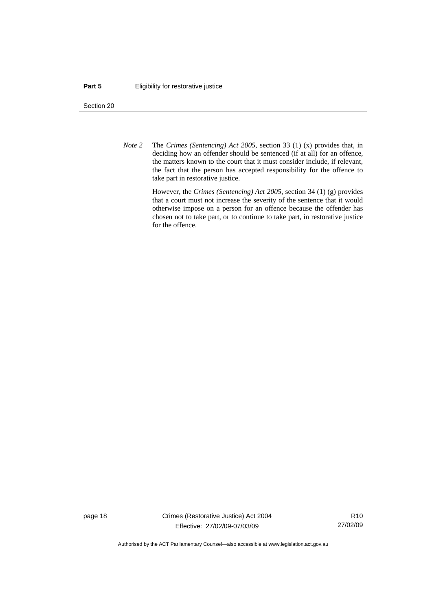#### **Part 5 Eligibility for restorative justice**

Section 20

*Note 2* The *Crimes (Sentencing) Act 2005*, section 33 (1) (x) provides that, in deciding how an offender should be sentenced (if at all) for an offence, the matters known to the court that it must consider include, if relevant, the fact that the person has accepted responsibility for the offence to take part in restorative justice.

> However, the *Crimes (Sentencing) Act 2005*, section 34 (1) (g) provides that a court must not increase the severity of the sentence that it would otherwise impose on a person for an offence because the offender has chosen not to take part, or to continue to take part, in restorative justice for the offence.

page 18 Crimes (Restorative Justice) Act 2004 Effective: 27/02/09-07/03/09

R10 27/02/09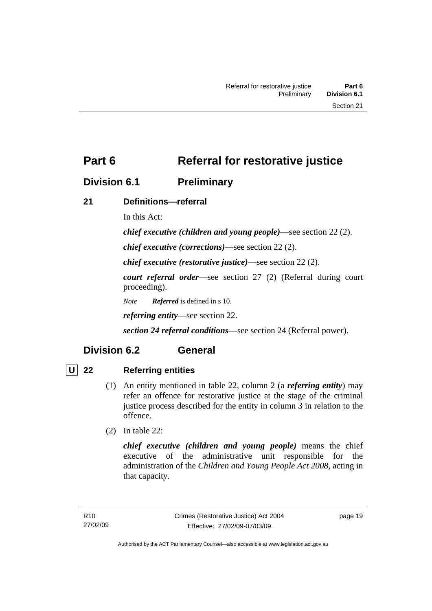### <span id="page-26-0"></span>**Division 6.1 Preliminary**

### **21 Definitions—referral**

In this Act:

*chief executive (children and young people)*—see section 22 (2).

*chief executive (corrections)*—see section 22 (2).

*chief executive (restorative justice)*—see section 22 (2).

*court referral order*—see section 27 (2) (Referral during court proceeding).

*Note Referred* is defined in s 10.

*referring entity*—see section 22.

*section 24 referral conditions*—see section 24 (Referral power).

### **Division 6.2 General**

#### **U 22 Referring entities**

- (1) An entity mentioned in table 22, column 2 (a *referring entity*) may refer an offence for restorative justice at the stage of the criminal justice process described for the entity in column 3 in relation to the offence.
- (2) In table 22:

*chief executive (children and young people)* means the chief executive of the administrative unit responsible for the administration of the *Children and Young People Act 2008*, acting in that capacity.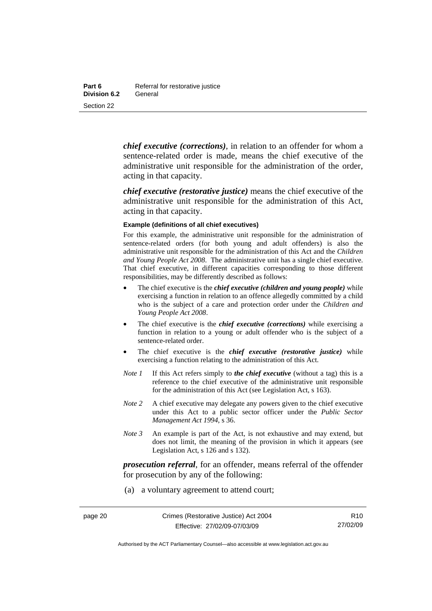*chief executive (corrections)*, in relation to an offender for whom a sentence-related order is made, means the chief executive of the administrative unit responsible for the administration of the order, acting in that capacity.

*chief executive (restorative justice)* means the chief executive of the administrative unit responsible for the administration of this Act, acting in that capacity.

#### **Example (definitions of all chief executives)**

For this example, the administrative unit responsible for the administration of sentence-related orders (for both young and adult offenders) is also the administrative unit responsible for the administration of this Act and the *Children and Young People Act 2008*. The administrative unit has a single chief executive. That chief executive, in different capacities corresponding to those different responsibilities, may be differently described as follows:

- The chief executive is the *chief executive (children and young people)* while exercising a function in relation to an offence allegedly committed by a child who is the subject of a care and protection order under the *Children and Young People Act 2008*.
- The chief executive is the *chief executive (corrections)* while exercising a function in relation to a young or adult offender who is the subject of a sentence-related order.
- The chief executive is the *chief executive (restorative justice)* while exercising a function relating to the administration of this Act.
- *Note 1* If this Act refers simply to *the chief executive* (without a tag) this is a reference to the chief executive of the administrative unit responsible for the administration of this Act (see Legislation Act, s 163).
- *Note* 2 A chief executive may delegate any powers given to the chief executive under this Act to a public sector officer under the *Public Sector Management Act 1994*, s 36.
- *Note 3* An example is part of the Act, is not exhaustive and may extend, but does not limit, the meaning of the provision in which it appears (see Legislation Act, s 126 and s 132).

*prosecution referral*, for an offender, means referral of the offender for prosecution by any of the following:

(a) a voluntary agreement to attend court;

R10 27/02/09

Authorised by the ACT Parliamentary Counsel—also accessible at www.legislation.act.gov.au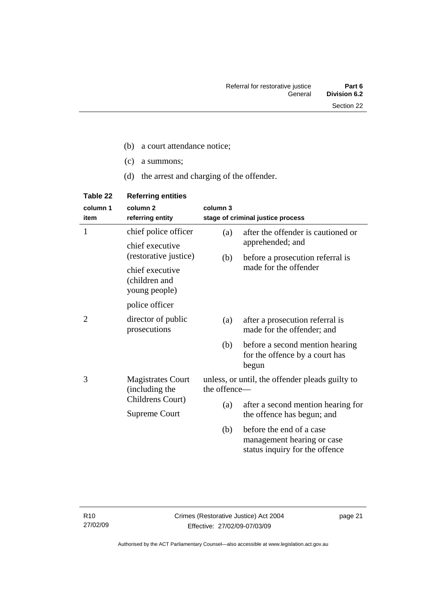- (c) a summons;
- (d) the arrest and charging of the offender.

| Table 22         | <b>Referring entities</b>                         |              |                                                                                          |
|------------------|---------------------------------------------------|--------------|------------------------------------------------------------------------------------------|
| column 1<br>item | column <sub>2</sub><br>referring entity           | column 3     | stage of criminal justice process                                                        |
| 1                | chief police officer                              | (a)          | after the offender is cautioned or                                                       |
|                  | chief executive<br>(restorative justice)          |              | apprehended; and                                                                         |
|                  |                                                   | (b)          | before a prosecution referral is                                                         |
|                  | chief executive<br>(children and<br>young people) |              | made for the offender                                                                    |
|                  | police officer                                    |              |                                                                                          |
| 2                | director of public<br>prosecutions                | (a)          | after a prosecution referral is<br>made for the offender; and                            |
|                  |                                                   | (b)          | before a second mention hearing<br>for the offence by a court has<br>begun               |
| 3                | <b>Magistrates Court</b><br>(including the        | the offence- | unless, or until, the offender pleads guilty to                                          |
|                  | Childrens Court)<br><b>Supreme Court</b>          | (a)          | after a second mention hearing for                                                       |
|                  |                                                   |              | the offence has begun; and                                                               |
|                  |                                                   | (b)          | before the end of a case<br>management hearing or case<br>status inquiry for the offence |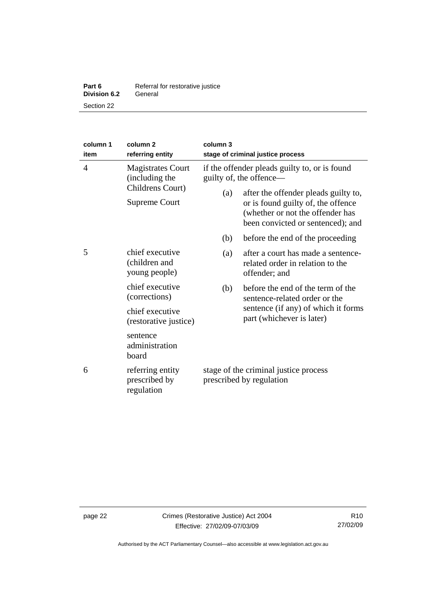| Part 6              | Referral for restorative justice |
|---------------------|----------------------------------|
| <b>Division 6.2</b> | General                          |
| Section 22          |                                  |

| column 1<br>item                                                                     | column <sub>2</sub><br>referring entity                                                                                 | column 3<br>stage of criminal justice process                     |                                                                                                             |
|--------------------------------------------------------------------------------------|-------------------------------------------------------------------------------------------------------------------------|-------------------------------------------------------------------|-------------------------------------------------------------------------------------------------------------|
| 4<br><b>Magistrates Court</b><br>(including the<br>Childrens Court)<br>Supreme Court | if the offender pleads guilty to, or is found<br>guilty of, the offence—<br>after the offender pleads guilty to,<br>(a) |                                                                   |                                                                                                             |
|                                                                                      |                                                                                                                         |                                                                   | or is found guilty of, the offence<br>(whether or not the offender has<br>been convicted or sentenced); and |
|                                                                                      |                                                                                                                         | (b)                                                               | before the end of the proceeding                                                                            |
| 5                                                                                    | chief executive<br>(children and<br>young people)                                                                       | (a)                                                               | after a court has made a sentence-<br>related order in relation to the<br>offender; and                     |
|                                                                                      | chief executive<br>(corrections)                                                                                        | (b)                                                               | before the end of the term of the<br>sentence-related order or the                                          |
|                                                                                      | chief executive<br>(restorative justice)                                                                                |                                                                   | sentence (if any) of which it forms<br>part (whichever is later)                                            |
|                                                                                      | sentence<br>administration<br>board                                                                                     |                                                                   |                                                                                                             |
| 6                                                                                    | referring entity<br>prescribed by<br>regulation                                                                         | stage of the criminal justice process<br>prescribed by regulation |                                                                                                             |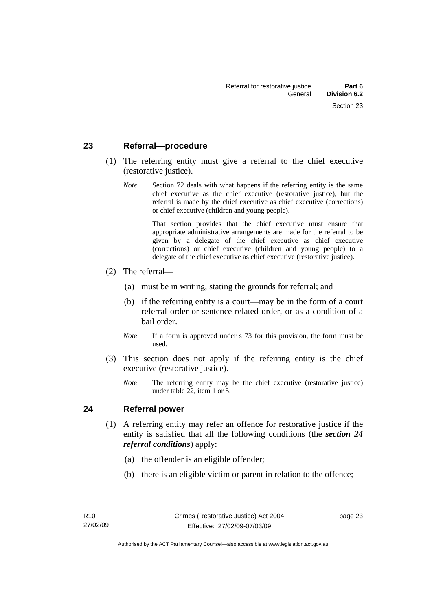#### <span id="page-30-0"></span>**23 Referral—procedure**

- (1) The referring entity must give a referral to the chief executive (restorative justice).
	- *Note* Section 72 deals with what happens if the referring entity is the same chief executive as the chief executive (restorative justice), but the referral is made by the chief executive as chief executive (corrections) or chief executive (children and young people).

 That section provides that the chief executive must ensure that appropriate administrative arrangements are made for the referral to be given by a delegate of the chief executive as chief executive (corrections) or chief executive (children and young people) to a delegate of the chief executive as chief executive (restorative justice).

- (2) The referral—
	- (a) must be in writing, stating the grounds for referral; and
	- (b) if the referring entity is a court—may be in the form of a court referral order or sentence-related order, or as a condition of a bail order.
	- *Note* If a form is approved under s 73 for this provision, the form must be used.
- (3) This section does not apply if the referring entity is the chief executive (restorative justice).
	- *Note* The referring entity may be the chief executive (restorative justice) under table 22, item 1 or 5.

#### **24 Referral power**

- (1) A referring entity may refer an offence for restorative justice if the entity is satisfied that all the following conditions (the *section 24 referral conditions*) apply:
	- (a) the offender is an eligible offender;
	- (b) there is an eligible victim or parent in relation to the offence;

page 23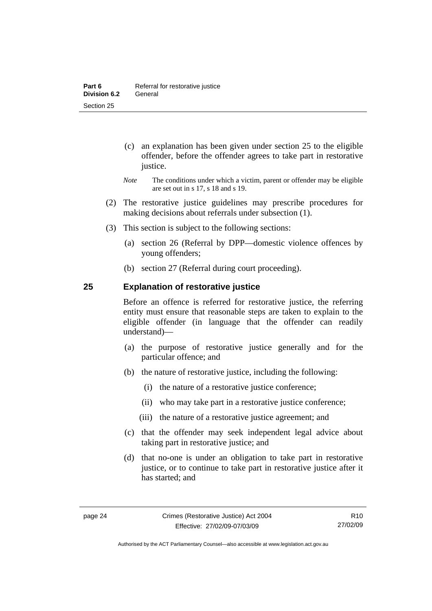- <span id="page-31-0"></span> (c) an explanation has been given under section 25 to the eligible offender, before the offender agrees to take part in restorative justice.
- *Note* The conditions under which a victim, parent or offender may be eligible are set out in s 17, s 18 and s 19.
- (2) The restorative justice guidelines may prescribe procedures for making decisions about referrals under subsection (1).
- (3) This section is subject to the following sections:
	- (a) section 26 (Referral by DPP—domestic violence offences by young offenders;
	- (b) section 27 (Referral during court proceeding).

#### **25 Explanation of restorative justice**

Before an offence is referred for restorative justice, the referring entity must ensure that reasonable steps are taken to explain to the eligible offender (in language that the offender can readily understand)––

- (a) the purpose of restorative justice generally and for the particular offence; and
- (b) the nature of restorative justice, including the following:
	- (i) the nature of a restorative justice conference;
	- (ii) who may take part in a restorative justice conference;
	- (iii) the nature of a restorative justice agreement; and
- (c) that the offender may seek independent legal advice about taking part in restorative justice; and
- (d) that no-one is under an obligation to take part in restorative justice, or to continue to take part in restorative justice after it has started; and

R10 27/02/09

Authorised by the ACT Parliamentary Counsel—also accessible at www.legislation.act.gov.au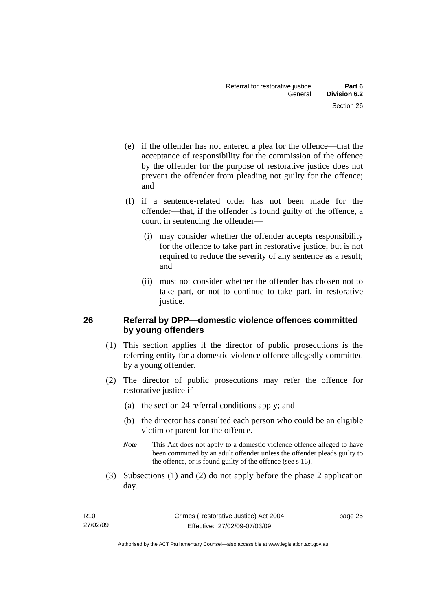- <span id="page-32-0"></span> (e) if the offender has not entered a plea for the offence—that the acceptance of responsibility for the commission of the offence by the offender for the purpose of restorative justice does not prevent the offender from pleading not guilty for the offence; and
- (f) if a sentence-related order has not been made for the offender—that, if the offender is found guilty of the offence, a court, in sentencing the offender—
	- (i) may consider whether the offender accepts responsibility for the offence to take part in restorative justice, but is not required to reduce the severity of any sentence as a result; and
	- (ii) must not consider whether the offender has chosen not to take part, or not to continue to take part, in restorative justice.

#### **26 Referral by DPP—domestic violence offences committed by young offenders**

- (1) This section applies if the director of public prosecutions is the referring entity for a domestic violence offence allegedly committed by a young offender.
- (2) The director of public prosecutions may refer the offence for restorative justice if—
	- (a) the section 24 referral conditions apply; and
	- (b) the director has consulted each person who could be an eligible victim or parent for the offence.
	- *Note* This Act does not apply to a domestic violence offence alleged to have been committed by an adult offender unless the offender pleads guilty to the offence, or is found guilty of the offence (see s 16).
- (3) Subsections (1) and (2) do not apply before the phase 2 application day.

page 25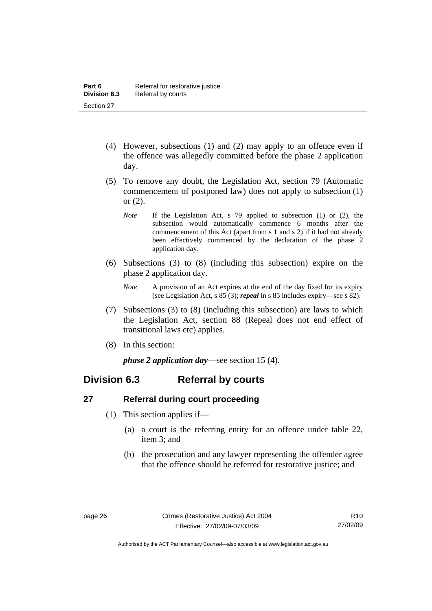- <span id="page-33-0"></span> (4) However, subsections (1) and (2) may apply to an offence even if the offence was allegedly committed before the phase 2 application day.
- (5) To remove any doubt, the Legislation Act, section 79 (Automatic commencement of postponed law) does not apply to subsection (1) or (2).
	- *Note* If the Legislation Act, s 79 applied to subsection (1) or (2), the subsection would automatically commence 6 months after the commencement of this Act (apart from s 1 and s 2) if it had not already been effectively commenced by the declaration of the phase 2 application day.
- (6) Subsections (3) to (8) (including this subsection) expire on the phase 2 application day.
	- *Note* A provision of an Act expires at the end of the day fixed for its expiry (see Legislation Act, s 85 (3); *repeal* in s 85 includes expiry—see s 82).
- (7) Subsections (3) to (8) (including this subsection) are laws to which the Legislation Act, section 88 (Repeal does not end effect of transitional laws etc) applies.
- (8) In this section:

*phase 2 application day*—see section 15 (4).

### **Division 6.3 Referral by courts**

#### **27 Referral during court proceeding**

- (1) This section applies if—
	- (a) a court is the referring entity for an offence under table 22, item 3; and
	- (b) the prosecution and any lawyer representing the offender agree that the offence should be referred for restorative justice; and

Authorised by the ACT Parliamentary Counsel—also accessible at www.legislation.act.gov.au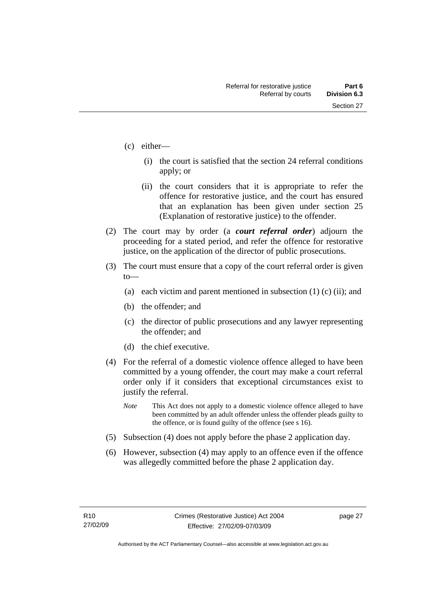- (c) either—
	- (i) the court is satisfied that the section 24 referral conditions apply; or
	- (ii) the court considers that it is appropriate to refer the offence for restorative justice, and the court has ensured that an explanation has been given under section 25 (Explanation of restorative justice) to the offender.
- (2) The court may by order (a *court referral order*) adjourn the proceeding for a stated period, and refer the offence for restorative justice, on the application of the director of public prosecutions.
- (3) The court must ensure that a copy of the court referral order is given to—
	- (a) each victim and parent mentioned in subsection  $(1)$  (c) (ii); and
	- (b) the offender; and
	- (c) the director of public prosecutions and any lawyer representing the offender; and
	- (d) the chief executive.
- (4) For the referral of a domestic violence offence alleged to have been committed by a young offender, the court may make a court referral order only if it considers that exceptional circumstances exist to justify the referral.
	- *Note* This Act does not apply to a domestic violence offence alleged to have been committed by an adult offender unless the offender pleads guilty to the offence, or is found guilty of the offence (see s 16).
- (5) Subsection (4) does not apply before the phase 2 application day.
- (6) However, subsection (4) may apply to an offence even if the offence was allegedly committed before the phase 2 application day.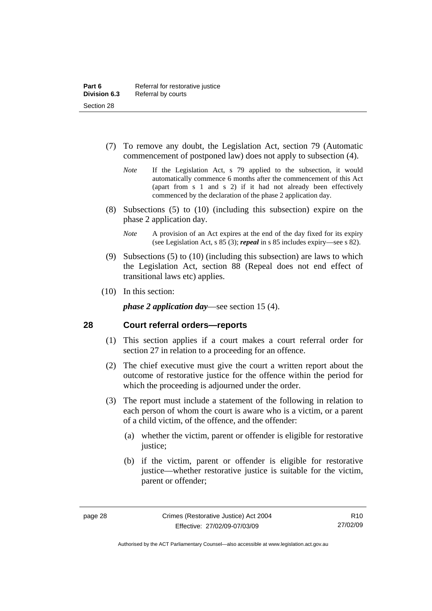- <span id="page-35-0"></span> (7) To remove any doubt, the Legislation Act, section 79 (Automatic commencement of postponed law) does not apply to subsection (4).
	- *Note* If the Legislation Act, s 79 applied to the subsection, it would automatically commence 6 months after the commencement of this Act (apart from s 1 and s 2) if it had not already been effectively commenced by the declaration of the phase 2 application day.
- (8) Subsections (5) to (10) (including this subsection) expire on the phase 2 application day.
	- *Note* A provision of an Act expires at the end of the day fixed for its expiry (see Legislation Act, s 85 (3); *repeal* in s 85 includes expiry—see s 82).
- (9) Subsections (5) to (10) (including this subsection) are laws to which the Legislation Act, section 88 (Repeal does not end effect of transitional laws etc) applies.
- (10) In this section:

*phase 2 application day*—see section 15 (4).

#### **28 Court referral orders—reports**

- (1) This section applies if a court makes a court referral order for section 27 in relation to a proceeding for an offence.
- (2) The chief executive must give the court a written report about the outcome of restorative justice for the offence within the period for which the proceeding is adjourned under the order.
- (3) The report must include a statement of the following in relation to each person of whom the court is aware who is a victim, or a parent of a child victim, of the offence, and the offender:
	- (a) whether the victim, parent or offender is eligible for restorative justice;
	- (b) if the victim, parent or offender is eligible for restorative justice—whether restorative justice is suitable for the victim, parent or offender;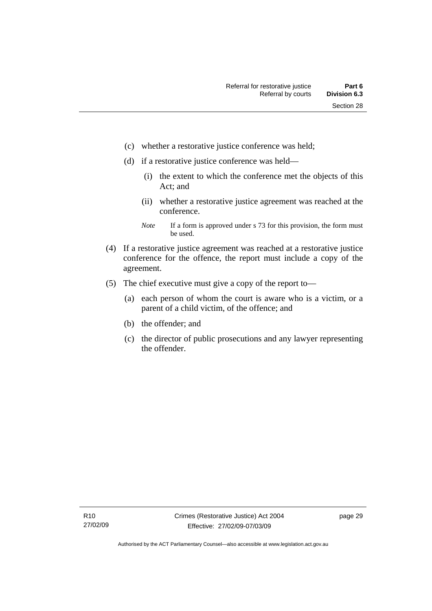- (c) whether a restorative justice conference was held;
- (d) if a restorative justice conference was held—
	- (i) the extent to which the conference met the objects of this Act; and
	- (ii) whether a restorative justice agreement was reached at the conference.
	- *Note* If a form is approved under s 73 for this provision, the form must be used.
- (4) If a restorative justice agreement was reached at a restorative justice conference for the offence, the report must include a copy of the agreement.
- (5) The chief executive must give a copy of the report to—
	- (a) each person of whom the court is aware who is a victim, or a parent of a child victim, of the offence; and
	- (b) the offender; and
	- (c) the director of public prosecutions and any lawyer representing the offender.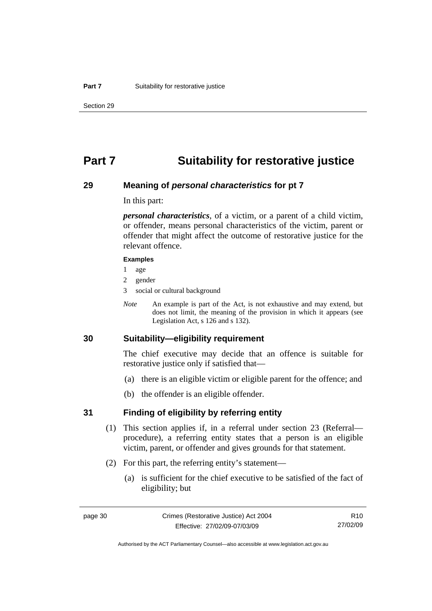## **Part 7 Suitability for restorative justice**

### **29 Meaning of** *personal characteristics* **for pt 7**

In this part:

*personal characteristics*, of a victim, or a parent of a child victim, or offender, means personal characteristics of the victim, parent or offender that might affect the outcome of restorative justice for the relevant offence.

#### **Examples**

- 1 age
- 2 gender
- 3 social or cultural background
- *Note* An example is part of the Act, is not exhaustive and may extend, but does not limit, the meaning of the provision in which it appears (see Legislation Act, s 126 and s 132).

## **30 Suitability—eligibility requirement**

The chief executive may decide that an offence is suitable for restorative justice only if satisfied that—

- (a) there is an eligible victim or eligible parent for the offence; and
- (b) the offender is an eligible offender.

### **31 Finding of eligibility by referring entity**

- (1) This section applies if, in a referral under section 23 (Referral procedure), a referring entity states that a person is an eligible victim, parent, or offender and gives grounds for that statement.
- (2) For this part, the referring entity's statement—
	- (a) is sufficient for the chief executive to be satisfied of the fact of eligibility; but

Authorised by the ACT Parliamentary Counsel—also accessible at www.legislation.act.gov.au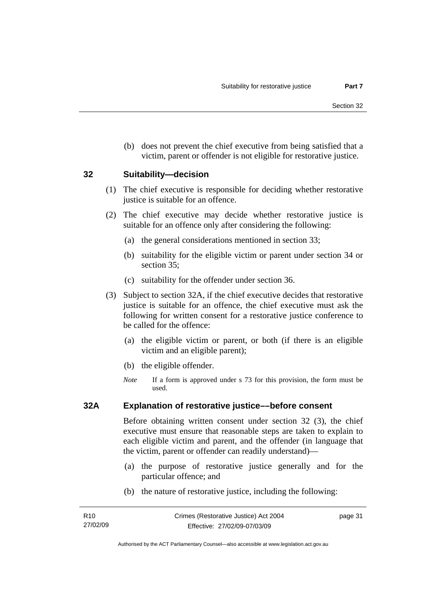(b) does not prevent the chief executive from being satisfied that a victim, parent or offender is not eligible for restorative justice.

### **32 Suitability—decision**

- (1) The chief executive is responsible for deciding whether restorative justice is suitable for an offence.
- (2) The chief executive may decide whether restorative justice is suitable for an offence only after considering the following:
	- (a) the general considerations mentioned in section 33;
	- (b) suitability for the eligible victim or parent under section 34 or section 35;
	- (c) suitability for the offender under section 36.
- (3) Subject to section 32A, if the chief executive decides that restorative justice is suitable for an offence, the chief executive must ask the following for written consent for a restorative justice conference to be called for the offence:
	- (a) the eligible victim or parent, or both (if there is an eligible victim and an eligible parent);
	- (b) the eligible offender.
	- *Note* If a form is approved under s 73 for this provision, the form must be used.

### **32A Explanation of restorative justice––before consent**

Before obtaining written consent under section 32 (3), the chief executive must ensure that reasonable steps are taken to explain to each eligible victim and parent, and the offender (in language that the victim, parent or offender can readily understand)—

- (a) the purpose of restorative justice generally and for the particular offence; and
- (b) the nature of restorative justice, including the following:

page 31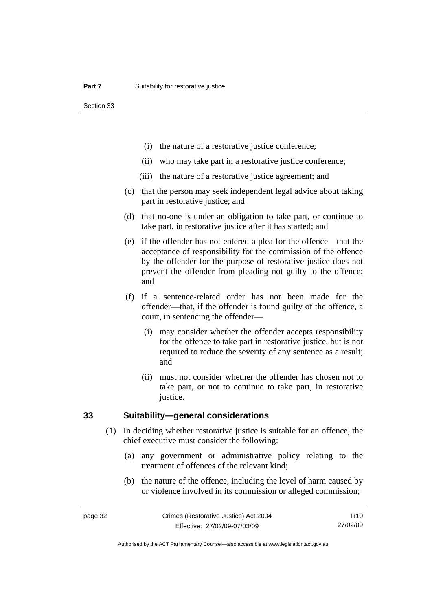Section 33

- (i) the nature of a restorative justice conference;
- (ii) who may take part in a restorative justice conference;
- (iii) the nature of a restorative justice agreement; and
- (c) that the person may seek independent legal advice about taking part in restorative justice; and
- (d) that no-one is under an obligation to take part, or continue to take part, in restorative justice after it has started; and
- (e) if the offender has not entered a plea for the offence—that the acceptance of responsibility for the commission of the offence by the offender for the purpose of restorative justice does not prevent the offender from pleading not guilty to the offence; and
- (f) if a sentence-related order has not been made for the offender—that, if the offender is found guilty of the offence, a court, in sentencing the offender—
	- (i) may consider whether the offender accepts responsibility for the offence to take part in restorative justice, but is not required to reduce the severity of any sentence as a result; and
	- (ii) must not consider whether the offender has chosen not to take part, or not to continue to take part, in restorative justice.

## **33 Suitability—general considerations**

- (1) In deciding whether restorative justice is suitable for an offence, the chief executive must consider the following:
	- (a) any government or administrative policy relating to the treatment of offences of the relevant kind;
	- (b) the nature of the offence, including the level of harm caused by or violence involved in its commission or alleged commission;

R10 27/02/09

Authorised by the ACT Parliamentary Counsel—also accessible at www.legislation.act.gov.au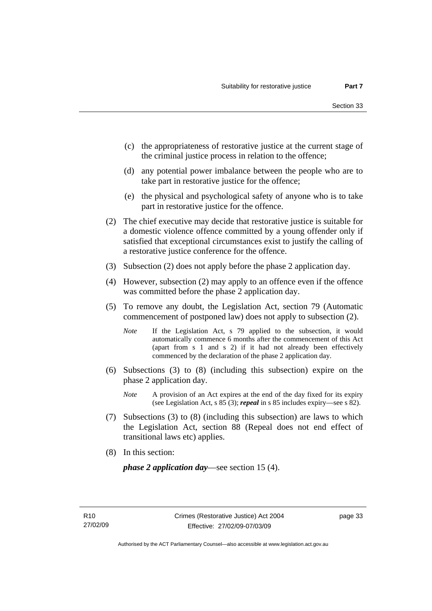- (c) the appropriateness of restorative justice at the current stage of the criminal justice process in relation to the offence;
- (d) any potential power imbalance between the people who are to take part in restorative justice for the offence;
- (e) the physical and psychological safety of anyone who is to take part in restorative justice for the offence.
- (2) The chief executive may decide that restorative justice is suitable for a domestic violence offence committed by a young offender only if satisfied that exceptional circumstances exist to justify the calling of a restorative justice conference for the offence.
- (3) Subsection (2) does not apply before the phase 2 application day.
- (4) However, subsection (2) may apply to an offence even if the offence was committed before the phase 2 application day.
- (5) To remove any doubt, the Legislation Act, section 79 (Automatic commencement of postponed law) does not apply to subsection (2).
	- *Note* If the Legislation Act, s 79 applied to the subsection, it would automatically commence 6 months after the commencement of this Act (apart from s 1 and s 2) if it had not already been effectively commenced by the declaration of the phase 2 application day.
- (6) Subsections (3) to (8) (including this subsection) expire on the phase 2 application day.
	- *Note* A provision of an Act expires at the end of the day fixed for its expiry (see Legislation Act, s 85 (3); *repeal* in s 85 includes expiry—see s 82).
- (7) Subsections (3) to (8) (including this subsection) are laws to which the Legislation Act, section 88 (Repeal does not end effect of transitional laws etc) applies.
- (8) In this section:

*phase 2 application day*—see section 15 (4).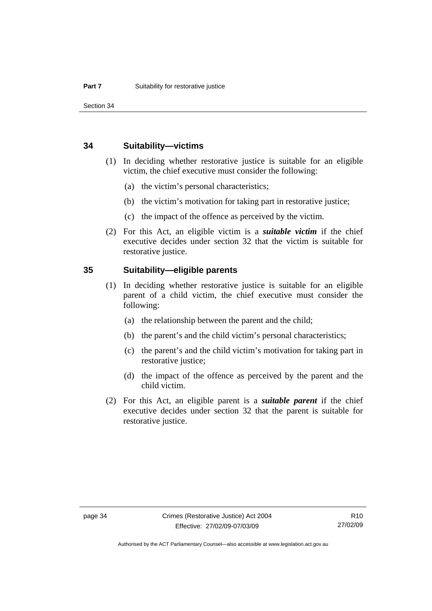Section 34

### **34 Suitability—victims**

- (1) In deciding whether restorative justice is suitable for an eligible victim, the chief executive must consider the following:
	- (a) the victim's personal characteristics;
	- (b) the victim's motivation for taking part in restorative justice;
	- (c) the impact of the offence as perceived by the victim.
- (2) For this Act, an eligible victim is a *suitable victim* if the chief executive decides under section 32 that the victim is suitable for restorative justice.

## **35 Suitability—eligible parents**

- (1) In deciding whether restorative justice is suitable for an eligible parent of a child victim, the chief executive must consider the following:
	- (a) the relationship between the parent and the child;
	- (b) the parent's and the child victim's personal characteristics;
	- (c) the parent's and the child victim's motivation for taking part in restorative justice;
	- (d) the impact of the offence as perceived by the parent and the child victim.
- (2) For this Act, an eligible parent is a *suitable parent* if the chief executive decides under section 32 that the parent is suitable for restorative justice.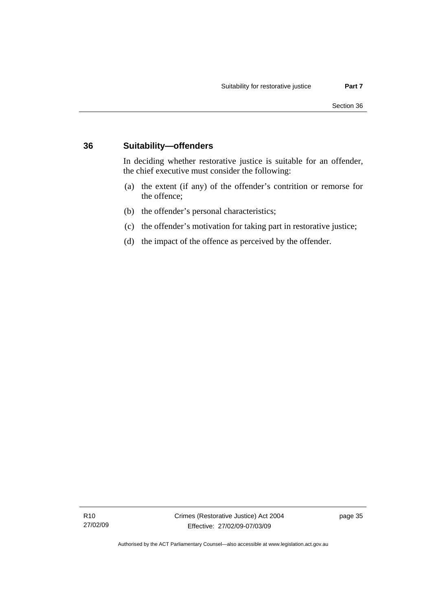## **36 Suitability—offenders**

In deciding whether restorative justice is suitable for an offender, the chief executive must consider the following:

- (a) the extent (if any) of the offender's contrition or remorse for the offence;
- (b) the offender's personal characteristics;
- (c) the offender's motivation for taking part in restorative justice;
- (d) the impact of the offence as perceived by the offender.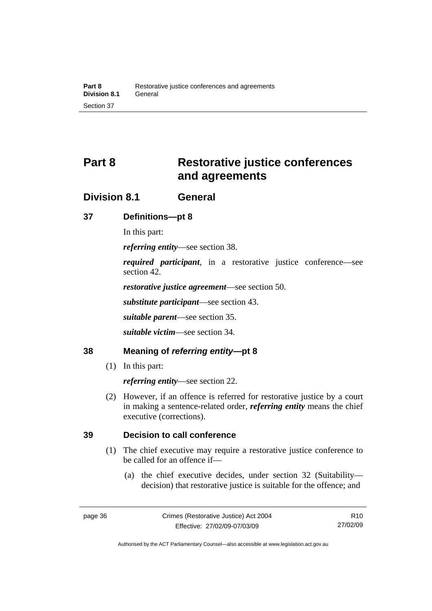# **Part 8 Restorative justice conferences and agreements**

## **Division 8.1 General**

## **37 Definitions—pt 8**

In this part:

*referring entity*—see section 38.

*required participant*, in a restorative justice conference—see section 42.

*restorative justice agreement*—see section 50.

*substitute participant*—see section 43.

*suitable parent*—see section 35.

*suitable victim*—see section 34.

## **38 Meaning of** *referring entity***—pt 8**

(1) In this part:

*referring entity*—see section 22.

 (2) However, if an offence is referred for restorative justice by a court in making a sentence-related order, *referring entity* means the chief executive (corrections).

## **39 Decision to call conference**

- (1) The chief executive may require a restorative justice conference to be called for an offence if—
	- (a) the chief executive decides, under section 32 (Suitability decision) that restorative justice is suitable for the offence; and

Authorised by the ACT Parliamentary Counsel—also accessible at www.legislation.act.gov.au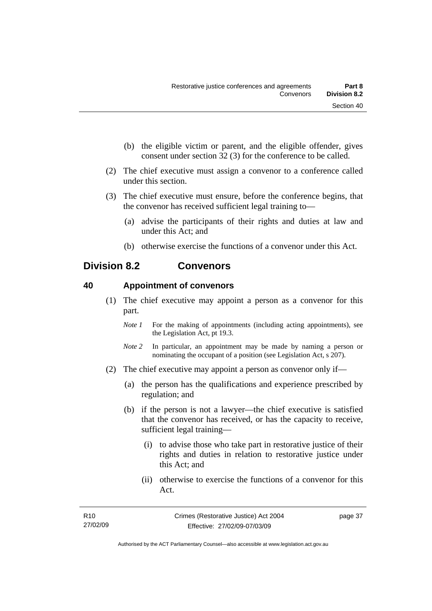- (b) the eligible victim or parent, and the eligible offender, gives consent under section 32 (3) for the conference to be called.
- (2) The chief executive must assign a convenor to a conference called under this section.
- (3) The chief executive must ensure, before the conference begins, that the convenor has received sufficient legal training to—
	- (a) advise the participants of their rights and duties at law and under this Act; and
	- (b) otherwise exercise the functions of a convenor under this Act.

## **Division 8.2 Convenors**

## **40 Appointment of convenors**

- (1) The chief executive may appoint a person as a convenor for this part.
	- *Note 1* For the making of appointments (including acting appointments), see the Legislation Act, pt 19.3.
	- *Note 2* In particular, an appointment may be made by naming a person or nominating the occupant of a position (see Legislation Act, s 207).
- (2) The chief executive may appoint a person as convenor only if—
	- (a) the person has the qualifications and experience prescribed by regulation; and
	- (b) if the person is not a lawyer—the chief executive is satisfied that the convenor has received, or has the capacity to receive, sufficient legal training—
		- (i) to advise those who take part in restorative justice of their rights and duties in relation to restorative justice under this Act; and
		- (ii) otherwise to exercise the functions of a convenor for this Act.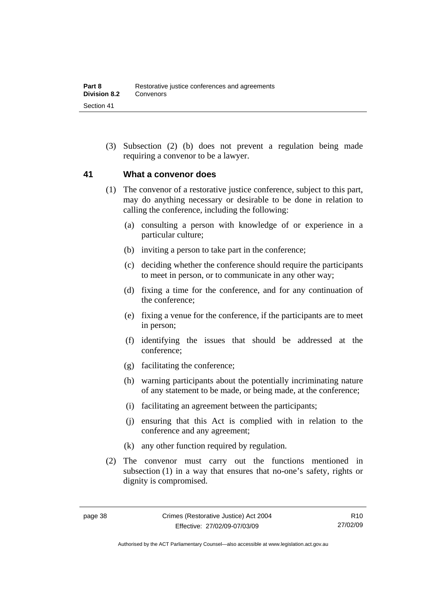(3) Subsection (2) (b) does not prevent a regulation being made requiring a convenor to be a lawyer.

## **41 What a convenor does**

- (1) The convenor of a restorative justice conference, subject to this part, may do anything necessary or desirable to be done in relation to calling the conference, including the following:
	- (a) consulting a person with knowledge of or experience in a particular culture;
	- (b) inviting a person to take part in the conference;
	- (c) deciding whether the conference should require the participants to meet in person, or to communicate in any other way;
	- (d) fixing a time for the conference, and for any continuation of the conference;
	- (e) fixing a venue for the conference, if the participants are to meet in person;
	- (f) identifying the issues that should be addressed at the conference;
	- (g) facilitating the conference;
	- (h) warning participants about the potentially incriminating nature of any statement to be made, or being made, at the conference;
	- (i) facilitating an agreement between the participants;
	- (j) ensuring that this Act is complied with in relation to the conference and any agreement;
	- (k) any other function required by regulation.
- (2) The convenor must carry out the functions mentioned in subsection (1) in a way that ensures that no-one's safety, rights or dignity is compromised.

Authorised by the ACT Parliamentary Counsel—also accessible at www.legislation.act.gov.au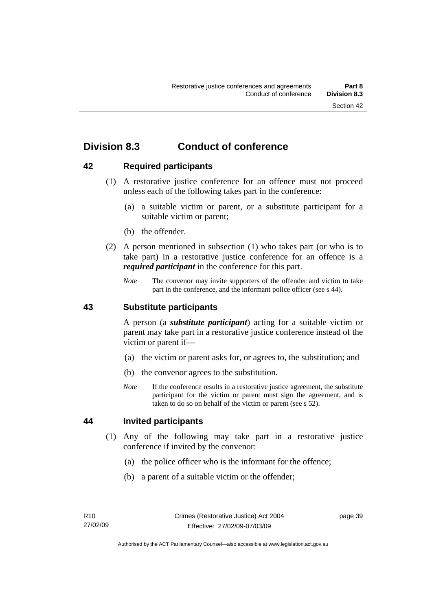## **Division 8.3 Conduct of conference**

## **42 Required participants**

- (1) A restorative justice conference for an offence must not proceed unless each of the following takes part in the conference:
	- (a) a suitable victim or parent, or a substitute participant for a suitable victim or parent;
	- (b) the offender.
- (2) A person mentioned in subsection (1) who takes part (or who is to take part) in a restorative justice conference for an offence is a *required participant* in the conference for this part.
	- *Note* The convenor may invite supporters of the offender and victim to take part in the conference, and the informant police officer (see s 44).

## **43 Substitute participants**

A person (a *substitute participant*) acting for a suitable victim or parent may take part in a restorative justice conference instead of the victim or parent if—

- (a) the victim or parent asks for, or agrees to, the substitution; and
- (b) the convenor agrees to the substitution.
- *Note* If the conference results in a restorative justice agreement, the substitute participant for the victim or parent must sign the agreement, and is taken to do so on behalf of the victim or parent (see s 52).

## **44 Invited participants**

- (1) Any of the following may take part in a restorative justice conference if invited by the convenor:
	- (a) the police officer who is the informant for the offence;
	- (b) a parent of a suitable victim or the offender;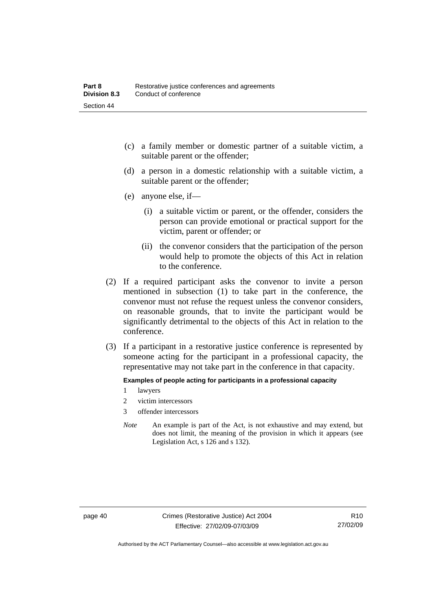- (c) a family member or domestic partner of a suitable victim, a suitable parent or the offender;
- (d) a person in a domestic relationship with a suitable victim, a suitable parent or the offender;
- (e) anyone else, if—
	- (i) a suitable victim or parent, or the offender, considers the person can provide emotional or practical support for the victim, parent or offender; or
	- (ii) the convenor considers that the participation of the person would help to promote the objects of this Act in relation to the conference.
- (2) If a required participant asks the convenor to invite a person mentioned in subsection (1) to take part in the conference, the convenor must not refuse the request unless the convenor considers, on reasonable grounds, that to invite the participant would be significantly detrimental to the objects of this Act in relation to the conference.
- (3) If a participant in a restorative justice conference is represented by someone acting for the participant in a professional capacity, the representative may not take part in the conference in that capacity.

#### **Examples of people acting for participants in a professional capacity**

- 1 lawyers
- 2 victim intercessors
- 3 offender intercessors
- *Note* An example is part of the Act, is not exhaustive and may extend, but does not limit, the meaning of the provision in which it appears (see Legislation Act, s 126 and s 132).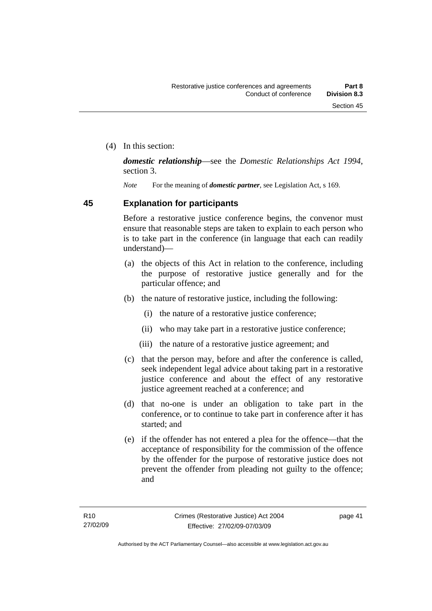(4) In this section:

*domestic relationship*—see the *Domestic Relationships Act 1994*, section 3.

*Note* For the meaning of *domestic partner*, see Legislation Act, s 169.

## **45 Explanation for participants**

Before a restorative justice conference begins, the convenor must ensure that reasonable steps are taken to explain to each person who is to take part in the conference (in language that each can readily understand)—

- (a) the objects of this Act in relation to the conference, including the purpose of restorative justice generally and for the particular offence; and
- (b) the nature of restorative justice, including the following:
	- (i) the nature of a restorative justice conference;
	- (ii) who may take part in a restorative justice conference;
	- (iii) the nature of a restorative justice agreement; and
- (c) that the person may, before and after the conference is called, seek independent legal advice about taking part in a restorative justice conference and about the effect of any restorative justice agreement reached at a conference; and
- (d) that no-one is under an obligation to take part in the conference, or to continue to take part in conference after it has started; and
- (e) if the offender has not entered a plea for the offence—that the acceptance of responsibility for the commission of the offence by the offender for the purpose of restorative justice does not prevent the offender from pleading not guilty to the offence; and

page 41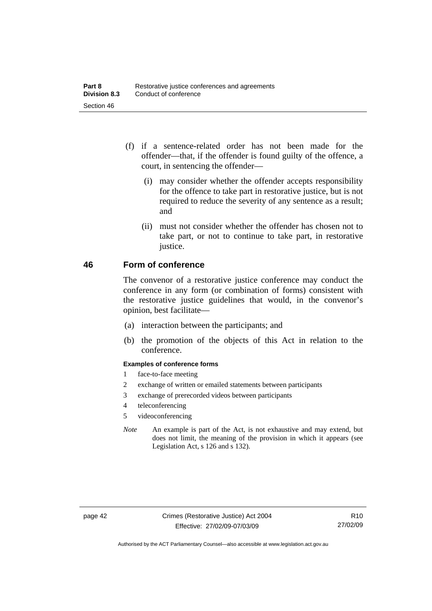- (f) if a sentence-related order has not been made for the offender—that, if the offender is found guilty of the offence, a court, in sentencing the offender—
	- (i) may consider whether the offender accepts responsibility for the offence to take part in restorative justice, but is not required to reduce the severity of any sentence as a result; and
	- (ii) must not consider whether the offender has chosen not to take part, or not to continue to take part, in restorative justice.

## **46 Form of conference**

The convenor of a restorative justice conference may conduct the conference in any form (or combination of forms) consistent with the restorative justice guidelines that would, in the convenor's opinion, best facilitate—

- (a) interaction between the participants; and
- (b) the promotion of the objects of this Act in relation to the conference.

#### **Examples of conference forms**

- 1 face-to-face meeting
- 2 exchange of written or emailed statements between participants
- 3 exchange of prerecorded videos between participants
- 4 teleconferencing
- 5 videoconferencing
- *Note* An example is part of the Act, is not exhaustive and may extend, but does not limit, the meaning of the provision in which it appears (see Legislation Act, s 126 and s 132).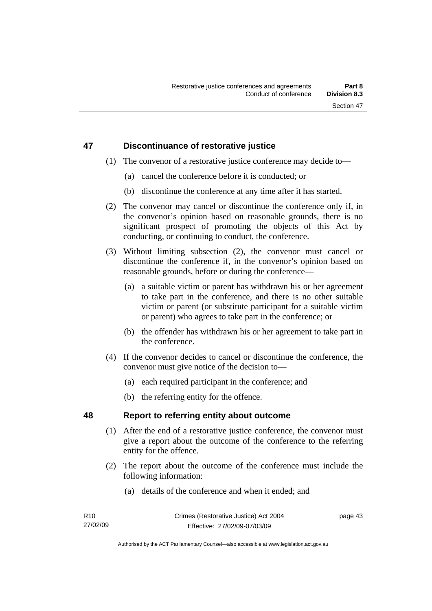## **47 Discontinuance of restorative justice**

- (1) The convenor of a restorative justice conference may decide to—
	- (a) cancel the conference before it is conducted; or
	- (b) discontinue the conference at any time after it has started.
- (2) The convenor may cancel or discontinue the conference only if, in the convenor's opinion based on reasonable grounds, there is no significant prospect of promoting the objects of this Act by conducting, or continuing to conduct, the conference.
- (3) Without limiting subsection (2), the convenor must cancel or discontinue the conference if, in the convenor's opinion based on reasonable grounds, before or during the conference—
	- (a) a suitable victim or parent has withdrawn his or her agreement to take part in the conference, and there is no other suitable victim or parent (or substitute participant for a suitable victim or parent) who agrees to take part in the conference; or
	- (b) the offender has withdrawn his or her agreement to take part in the conference.
- (4) If the convenor decides to cancel or discontinue the conference, the convenor must give notice of the decision to—
	- (a) each required participant in the conference; and
	- (b) the referring entity for the offence.

## **48 Report to referring entity about outcome**

- (1) After the end of a restorative justice conference, the convenor must give a report about the outcome of the conference to the referring entity for the offence.
- (2) The report about the outcome of the conference must include the following information:
	- (a) details of the conference and when it ended; and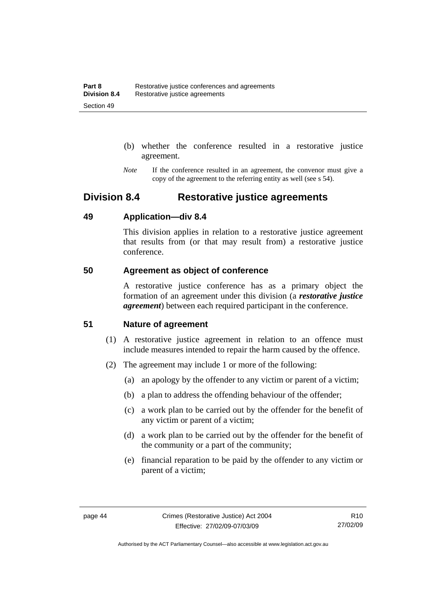- (b) whether the conference resulted in a restorative justice agreement.
- *Note* If the conference resulted in an agreement, the convenor must give a copy of the agreement to the referring entity as well (see s 54).

## **Division 8.4 Restorative justice agreements**

## **49 Application—div 8.4**

This division applies in relation to a restorative justice agreement that results from (or that may result from) a restorative justice conference.

## **50 Agreement as object of conference**

A restorative justice conference has as a primary object the formation of an agreement under this division (a *restorative justice agreement*) between each required participant in the conference.

## **51 Nature of agreement**

- (1) A restorative justice agreement in relation to an offence must include measures intended to repair the harm caused by the offence.
- (2) The agreement may include 1 or more of the following:
	- (a) an apology by the offender to any victim or parent of a victim;
	- (b) a plan to address the offending behaviour of the offender;
	- (c) a work plan to be carried out by the offender for the benefit of any victim or parent of a victim;
	- (d) a work plan to be carried out by the offender for the benefit of the community or a part of the community;
	- (e) financial reparation to be paid by the offender to any victim or parent of a victim;

Authorised by the ACT Parliamentary Counsel—also accessible at www.legislation.act.gov.au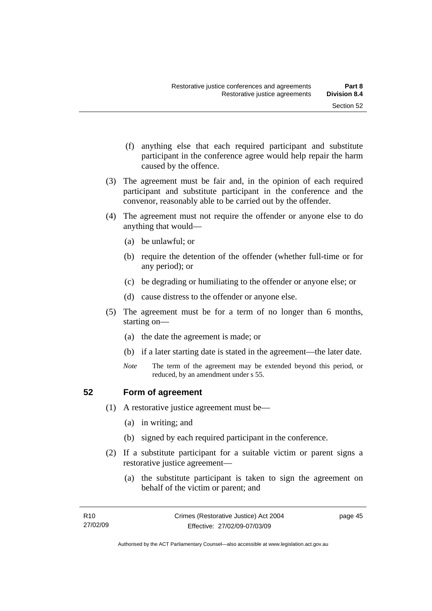- (f) anything else that each required participant and substitute participant in the conference agree would help repair the harm caused by the offence.
- (3) The agreement must be fair and, in the opinion of each required participant and substitute participant in the conference and the convenor, reasonably able to be carried out by the offender.
- (4) The agreement must not require the offender or anyone else to do anything that would—
	- (a) be unlawful; or
	- (b) require the detention of the offender (whether full-time or for any period); or
	- (c) be degrading or humiliating to the offender or anyone else; or
	- (d) cause distress to the offender or anyone else.
- (5) The agreement must be for a term of no longer than 6 months, starting on—
	- (a) the date the agreement is made; or
	- (b) if a later starting date is stated in the agreement—the later date.
	- *Note* The term of the agreement may be extended beyond this period, or reduced, by an amendment under s 55.

### **52 Form of agreement**

- (1) A restorative justice agreement must be—
	- (a) in writing; and
	- (b) signed by each required participant in the conference.
- (2) If a substitute participant for a suitable victim or parent signs a restorative justice agreement—
	- (a) the substitute participant is taken to sign the agreement on behalf of the victim or parent; and

page 45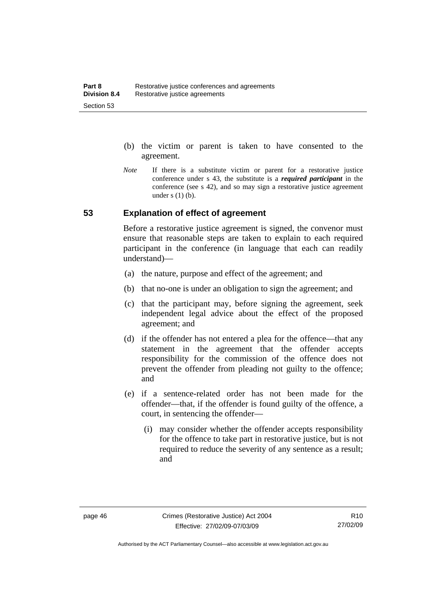- (b) the victim or parent is taken to have consented to the agreement.
- *Note* If there is a substitute victim or parent for a restorative justice conference under s 43, the substitute is a *required participant* in the conference (see s 42), and so may sign a restorative justice agreement under  $s(1)(b)$ .

## **53 Explanation of effect of agreement**

Before a restorative justice agreement is signed, the convenor must ensure that reasonable steps are taken to explain to each required participant in the conference (in language that each can readily understand)—

- (a) the nature, purpose and effect of the agreement; and
- (b) that no-one is under an obligation to sign the agreement; and
- (c) that the participant may, before signing the agreement, seek independent legal advice about the effect of the proposed agreement; and
- (d) if the offender has not entered a plea for the offence—that any statement in the agreement that the offender accepts responsibility for the commission of the offence does not prevent the offender from pleading not guilty to the offence; and
- (e) if a sentence-related order has not been made for the offender—that, if the offender is found guilty of the offence, a court, in sentencing the offender—
	- (i) may consider whether the offender accepts responsibility for the offence to take part in restorative justice, but is not required to reduce the severity of any sentence as a result: and

Authorised by the ACT Parliamentary Counsel—also accessible at www.legislation.act.gov.au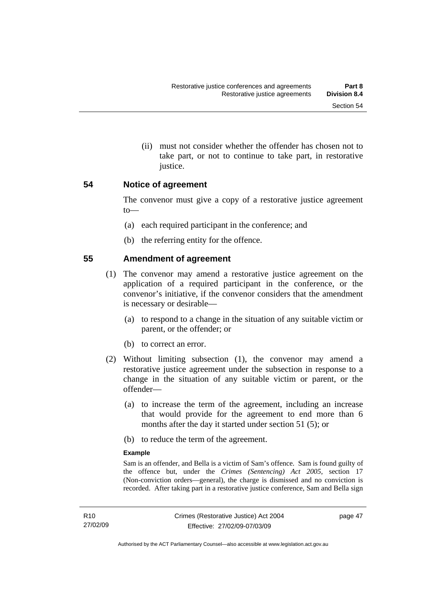(ii) must not consider whether the offender has chosen not to take part, or not to continue to take part, in restorative justice.

### **54 Notice of agreement**

The convenor must give a copy of a restorative justice agreement to—

- (a) each required participant in the conference; and
- (b) the referring entity for the offence.

## **55 Amendment of agreement**

- (1) The convenor may amend a restorative justice agreement on the application of a required participant in the conference, or the convenor's initiative, if the convenor considers that the amendment is necessary or desirable—
	- (a) to respond to a change in the situation of any suitable victim or parent, or the offender; or
	- (b) to correct an error.
- (2) Without limiting subsection (1), the convenor may amend a restorative justice agreement under the subsection in response to a change in the situation of any suitable victim or parent, or the offender—
	- (a) to increase the term of the agreement, including an increase that would provide for the agreement to end more than 6 months after the day it started under section 51 (5); or
	- (b) to reduce the term of the agreement.

#### **Example**

Sam is an offender, and Bella is a victim of Sam's offence. Sam is found guilty of the offence but, under the *Crimes (Sentencing) Act 2005*, section 17 (Non-conviction orders—general), the charge is dismissed and no conviction is recorded. After taking part in a restorative justice conference, Sam and Bella sign

page 47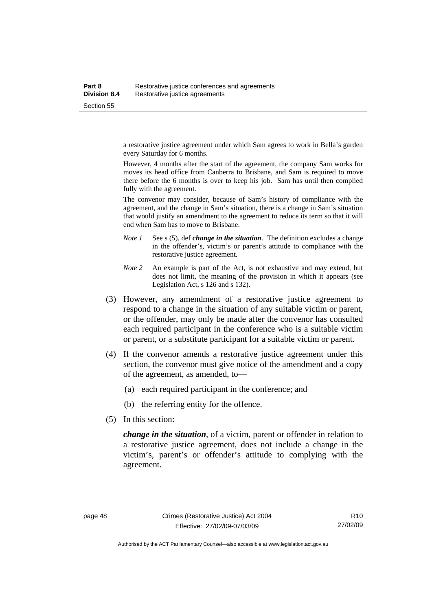a restorative justice agreement under which Sam agrees to work in Bella's garden every Saturday for 6 months.

However, 4 months after the start of the agreement, the company Sam works for moves its head office from Canberra to Brisbane, and Sam is required to move there before the 6 months is over to keep his job. Sam has until then complied fully with the agreement.

The convenor may consider, because of Sam's history of compliance with the agreement, and the change in Sam's situation, there is a change in Sam's situation that would justify an amendment to the agreement to reduce its term so that it will end when Sam has to move to Brisbane.

- *Note 1* See s (5), def *change in the situation*. The definition excludes a change in the offender's, victim's or parent's attitude to compliance with the restorative justice agreement.
- *Note 2* An example is part of the Act, is not exhaustive and may extend, but does not limit, the meaning of the provision in which it appears (see Legislation Act, s 126 and s 132).
- (3) However, any amendment of a restorative justice agreement to respond to a change in the situation of any suitable victim or parent, or the offender, may only be made after the convenor has consulted each required participant in the conference who is a suitable victim or parent, or a substitute participant for a suitable victim or parent.
- (4) If the convenor amends a restorative justice agreement under this section, the convenor must give notice of the amendment and a copy of the agreement, as amended, to—
	- (a) each required participant in the conference; and
	- (b) the referring entity for the offence.
- (5) In this section:

*change in the situation*, of a victim, parent or offender in relation to a restorative justice agreement, does not include a change in the victim's, parent's or offender's attitude to complying with the agreement.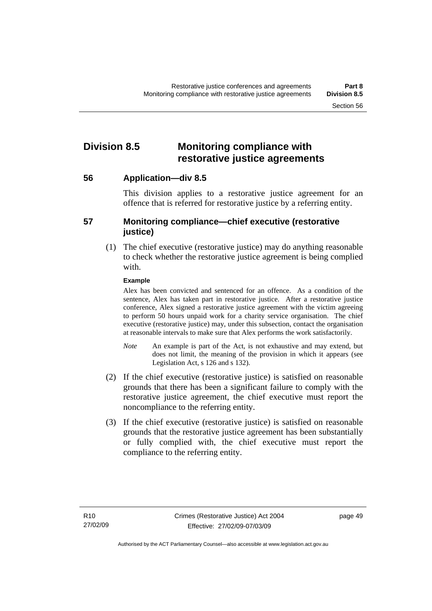## **Division 8.5 Monitoring compliance with restorative justice agreements**

**56 Application—div 8.5** 

This division applies to a restorative justice agreement for an offence that is referred for restorative justice by a referring entity.

## **57 Monitoring compliance—chief executive (restorative justice)**

 (1) The chief executive (restorative justice) may do anything reasonable to check whether the restorative justice agreement is being complied with.

### **Example**

Alex has been convicted and sentenced for an offence. As a condition of the sentence, Alex has taken part in restorative justice. After a restorative justice conference, Alex signed a restorative justice agreement with the victim agreeing to perform 50 hours unpaid work for a charity service organisation. The chief executive (restorative justice) may, under this subsection, contact the organisation at reasonable intervals to make sure that Alex performs the work satisfactorily.

- *Note* An example is part of the Act, is not exhaustive and may extend, but does not limit, the meaning of the provision in which it appears (see Legislation Act, s 126 and s 132).
- (2) If the chief executive (restorative justice) is satisfied on reasonable grounds that there has been a significant failure to comply with the restorative justice agreement, the chief executive must report the noncompliance to the referring entity.
- (3) If the chief executive (restorative justice) is satisfied on reasonable grounds that the restorative justice agreement has been substantially or fully complied with, the chief executive must report the compliance to the referring entity.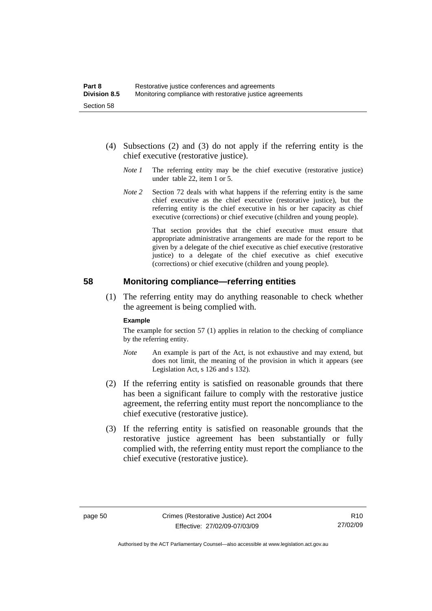- (4) Subsections (2) and (3) do not apply if the referring entity is the chief executive (restorative justice).
	- *Note 1* The referring entity may be the chief executive (restorative justice) under table 22, item 1 or 5.
	- *Note* 2 Section 72 deals with what happens if the referring entity is the same chief executive as the chief executive (restorative justice), but the referring entity is the chief executive in his or her capacity as chief executive (corrections) or chief executive (children and young people).

 That section provides that the chief executive must ensure that appropriate administrative arrangements are made for the report to be given by a delegate of the chief executive as chief executive (restorative justice) to a delegate of the chief executive as chief executive (corrections) or chief executive (children and young people).

### **58 Monitoring compliance—referring entities**

 (1) The referring entity may do anything reasonable to check whether the agreement is being complied with.

#### **Example**

The example for section 57 (1) applies in relation to the checking of compliance by the referring entity.

- *Note* An example is part of the Act, is not exhaustive and may extend, but does not limit, the meaning of the provision in which it appears (see Legislation Act, s 126 and s 132).
- (2) If the referring entity is satisfied on reasonable grounds that there has been a significant failure to comply with the restorative justice agreement, the referring entity must report the noncompliance to the chief executive (restorative justice).
- (3) If the referring entity is satisfied on reasonable grounds that the restorative justice agreement has been substantially or fully complied with, the referring entity must report the compliance to the chief executive (restorative justice).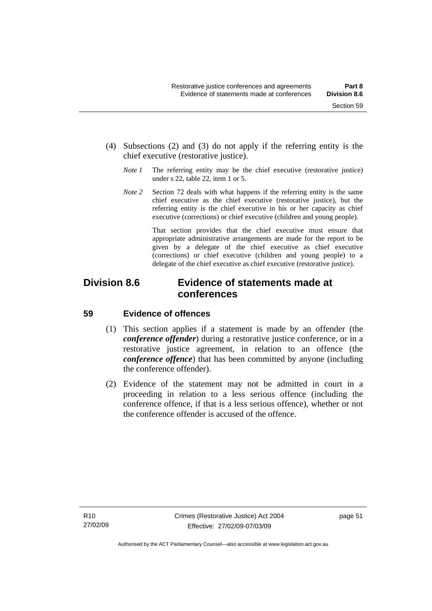- (4) Subsections (2) and (3) do not apply if the referring entity is the chief executive (restorative justice).
	- *Note 1* The referring entity may be the chief executive (restorative justice) under s 22, table 22, item 1 or 5.
	- *Note 2* Section 72 deals with what happens if the referring entity is the same chief executive as the chief executive (restorative justice), but the referring entity is the chief executive in his or her capacity as chief executive (corrections) or chief executive (children and young people).

 That section provides that the chief executive must ensure that appropriate administrative arrangements are made for the report to be given by a delegate of the chief executive as chief executive (corrections) or chief executive (children and young people) to a delegate of the chief executive as chief executive (restorative justice).

## **Division 8.6 Evidence of statements made at conferences**

## **59 Evidence of offences**

- (1) This section applies if a statement is made by an offender (the *conference offender*) during a restorative justice conference, or in a restorative justice agreement, in relation to an offence (the *conference offence*) that has been committed by anyone (including the conference offender).
- (2) Evidence of the statement may not be admitted in court in a proceeding in relation to a less serious offence (including the conference offence, if that is a less serious offence), whether or not the conference offender is accused of the offence.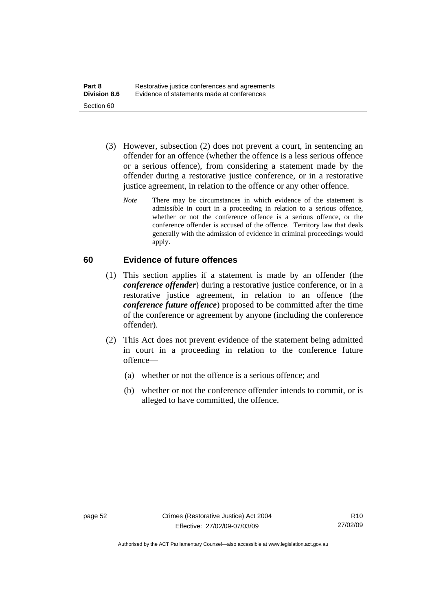- (3) However, subsection (2) does not prevent a court, in sentencing an offender for an offence (whether the offence is a less serious offence or a serious offence), from considering a statement made by the offender during a restorative justice conference, or in a restorative justice agreement, in relation to the offence or any other offence.
	- *Note* There may be circumstances in which evidence of the statement is admissible in court in a proceeding in relation to a serious offence, whether or not the conference offence is a serious offence, or the conference offender is accused of the offence. Territory law that deals generally with the admission of evidence in criminal proceedings would apply.

## **60 Evidence of future offences**

- (1) This section applies if a statement is made by an offender (the *conference offender*) during a restorative justice conference, or in a restorative justice agreement, in relation to an offence (the *conference future offence*) proposed to be committed after the time of the conference or agreement by anyone (including the conference offender).
- (2) This Act does not prevent evidence of the statement being admitted in court in a proceeding in relation to the conference future offence—
	- (a) whether or not the offence is a serious offence; and
	- (b) whether or not the conference offender intends to commit, or is alleged to have committed, the offence.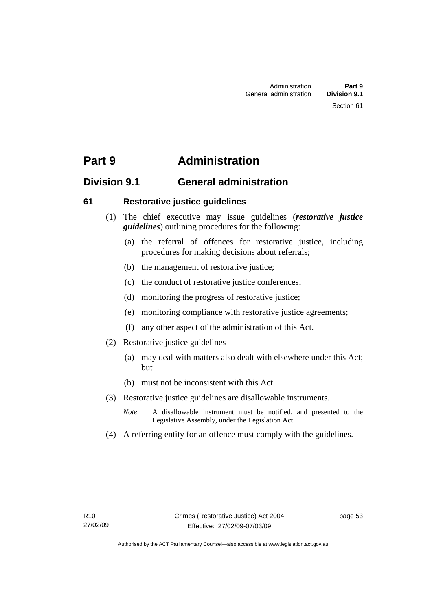## **Part 9 Administration**

## **Division 9.1 General administration**

## **61 Restorative justice guidelines**

- (1) The chief executive may issue guidelines (*restorative justice guidelines*) outlining procedures for the following:
	- (a) the referral of offences for restorative justice, including procedures for making decisions about referrals;
	- (b) the management of restorative justice;
	- (c) the conduct of restorative justice conferences;
	- (d) monitoring the progress of restorative justice;
	- (e) monitoring compliance with restorative justice agreements;
	- (f) any other aspect of the administration of this Act.
- (2) Restorative justice guidelines—
	- (a) may deal with matters also dealt with elsewhere under this Act; but
	- (b) must not be inconsistent with this Act.
- (3) Restorative justice guidelines are disallowable instruments.
	- *Note* A disallowable instrument must be notified, and presented to the Legislative Assembly, under the Legislation Act.
- (4) A referring entity for an offence must comply with the guidelines.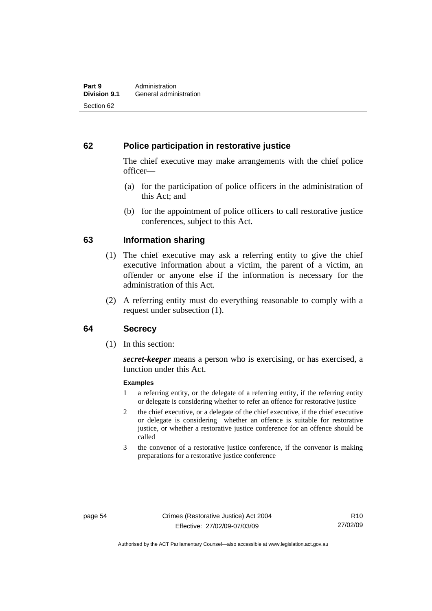## **62 Police participation in restorative justice**

The chief executive may make arrangements with the chief police officer—

- (a) for the participation of police officers in the administration of this Act; and
- (b) for the appointment of police officers to call restorative justice conferences, subject to this Act.

## **63 Information sharing**

- (1) The chief executive may ask a referring entity to give the chief executive information about a victim, the parent of a victim, an offender or anyone else if the information is necessary for the administration of this Act.
- (2) A referring entity must do everything reasonable to comply with a request under subsection (1).

## **64 Secrecy**

(1) In this section:

*secret-keeper* means a person who is exercising, or has exercised, a function under this Act.

#### **Examples**

- 1 a referring entity, or the delegate of a referring entity, if the referring entity or delegate is considering whether to refer an offence for restorative justice
- 2 the chief executive, or a delegate of the chief executive, if the chief executive or delegate is considering whether an offence is suitable for restorative justice, or whether a restorative justice conference for an offence should be called
- 3 the convenor of a restorative justice conference, if the convenor is making preparations for a restorative justice conference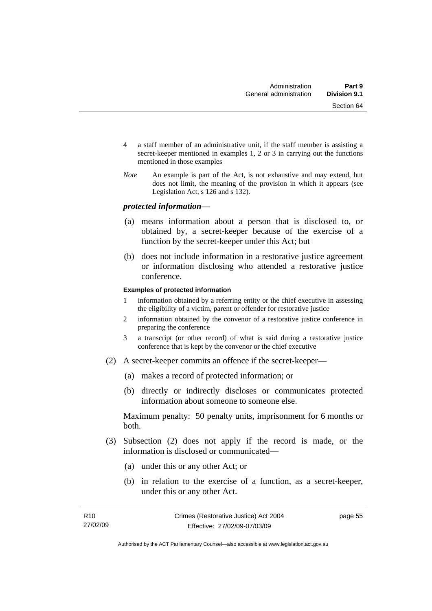- 4 a staff member of an administrative unit, if the staff member is assisting a secret-keeper mentioned in examples 1, 2 or 3 in carrying out the functions mentioned in those examples
- *Note* An example is part of the Act, is not exhaustive and may extend, but does not limit, the meaning of the provision in which it appears (see Legislation Act, s 126 and s 132).

### *protected information*—

- (a) means information about a person that is disclosed to, or obtained by, a secret-keeper because of the exercise of a function by the secret-keeper under this Act; but
- (b) does not include information in a restorative justice agreement or information disclosing who attended a restorative justice conference.

#### **Examples of protected information**

- 1 information obtained by a referring entity or the chief executive in assessing the eligibility of a victim, parent or offender for restorative justice
- 2 information obtained by the convenor of a restorative justice conference in preparing the conference
- 3 a transcript (or other record) of what is said during a restorative justice conference that is kept by the convenor or the chief executive
- (2) A secret-keeper commits an offence if the secret-keeper—
	- (a) makes a record of protected information; or
	- (b) directly or indirectly discloses or communicates protected information about someone to someone else.

Maximum penalty: 50 penalty units, imprisonment for 6 months or both.

- (3) Subsection (2) does not apply if the record is made, or the information is disclosed or communicated—
	- (a) under this or any other Act; or
	- (b) in relation to the exercise of a function, as a secret-keeper, under this or any other Act.

page 55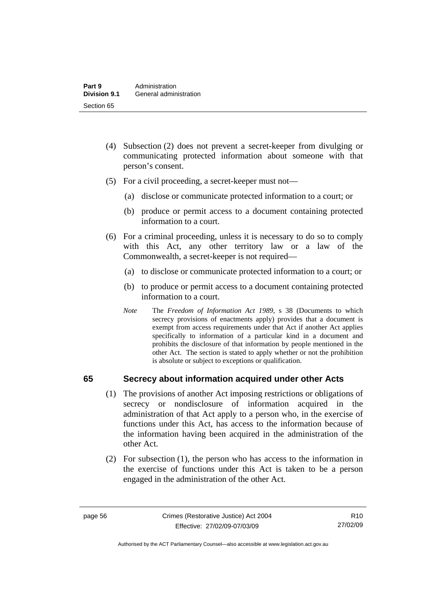- (4) Subsection (2) does not prevent a secret-keeper from divulging or communicating protected information about someone with that person's consent.
- (5) For a civil proceeding, a secret-keeper must not—
	- (a) disclose or communicate protected information to a court; or
	- (b) produce or permit access to a document containing protected information to a court.
- (6) For a criminal proceeding, unless it is necessary to do so to comply with this Act, any other territory law or a law of the Commonwealth, a secret-keeper is not required—
	- (a) to disclose or communicate protected information to a court; or
	- (b) to produce or permit access to a document containing protected information to a court.
	- *Note* The *Freedom of Information Act 1989*, s 38 (Documents to which secrecy provisions of enactments apply) provides that a document is exempt from access requirements under that Act if another Act applies specifically to information of a particular kind in a document and prohibits the disclosure of that information by people mentioned in the other Act. The section is stated to apply whether or not the prohibition is absolute or subject to exceptions or qualification.

## **65 Secrecy about information acquired under other Acts**

- (1) The provisions of another Act imposing restrictions or obligations of secrecy or nondisclosure of information acquired in the administration of that Act apply to a person who, in the exercise of functions under this Act, has access to the information because of the information having been acquired in the administration of the other Act.
- (2) For subsection (1), the person who has access to the information in the exercise of functions under this Act is taken to be a person engaged in the administration of the other Act.

R10 27/02/09

Authorised by the ACT Parliamentary Counsel—also accessible at www.legislation.act.gov.au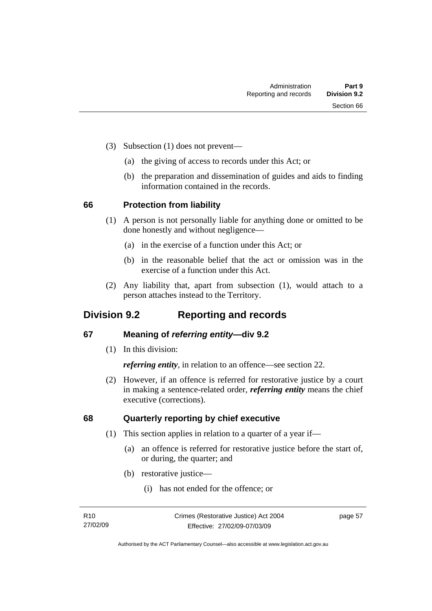- (3) Subsection (1) does not prevent—
	- (a) the giving of access to records under this Act; or
	- (b) the preparation and dissemination of guides and aids to finding information contained in the records.

## **66 Protection from liability**

- (1) A person is not personally liable for anything done or omitted to be done honestly and without negligence—
	- (a) in the exercise of a function under this Act; or
	- (b) in the reasonable belief that the act or omission was in the exercise of a function under this Act.
- (2) Any liability that, apart from subsection (1), would attach to a person attaches instead to the Territory.

## **Division 9.2 Reporting and records**

## **67 Meaning of** *referring entity—***div 9.2**

(1) In this division:

*referring entity*, in relation to an offence—see section 22.

 (2) However, if an offence is referred for restorative justice by a court in making a sentence-related order, *referring entity* means the chief executive (corrections).

## **68 Quarterly reporting by chief executive**

- (1) This section applies in relation to a quarter of a year if—
	- (a) an offence is referred for restorative justice before the start of, or during, the quarter; and
	- (b) restorative justice—
		- (i) has not ended for the offence; or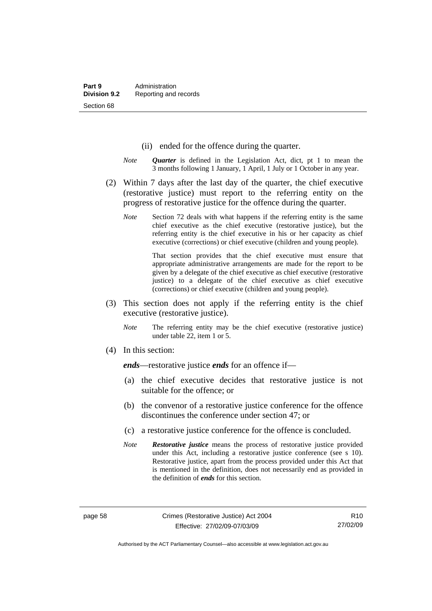- (ii) ended for the offence during the quarter.
- *Note Quarter* is defined in the Legislation Act, dict, pt 1 to mean the 3 months following 1 January, 1 April, 1 July or 1 October in any year.
- (2) Within 7 days after the last day of the quarter, the chief executive (restorative justice) must report to the referring entity on the progress of restorative justice for the offence during the quarter.
	- *Note* Section 72 deals with what happens if the referring entity is the same chief executive as the chief executive (restorative justice), but the referring entity is the chief executive in his or her capacity as chief executive (corrections) or chief executive (children and young people).

 That section provides that the chief executive must ensure that appropriate administrative arrangements are made for the report to be given by a delegate of the chief executive as chief executive (restorative justice) to a delegate of the chief executive as chief executive (corrections) or chief executive (children and young people).

- (3) This section does not apply if the referring entity is the chief executive (restorative justice).
	- *Note* The referring entity may be the chief executive (restorative justice) under table 22, item 1 or 5.
- (4) In this section:

*ends*—restorative justice *ends* for an offence if—

- (a) the chief executive decides that restorative justice is not suitable for the offence; or
- (b) the convenor of a restorative justice conference for the offence discontinues the conference under section 47; or
- (c) a restorative justice conference for the offence is concluded.
- *Note Restorative justice* means the process of restorative justice provided under this Act, including a restorative justice conference (see s 10). Restorative justice, apart from the process provided under this Act that is mentioned in the definition, does not necessarily end as provided in the definition of *ends* for this section.

 $R10$ 27/02/09

Authorised by the ACT Parliamentary Counsel—also accessible at www.legislation.act.gov.au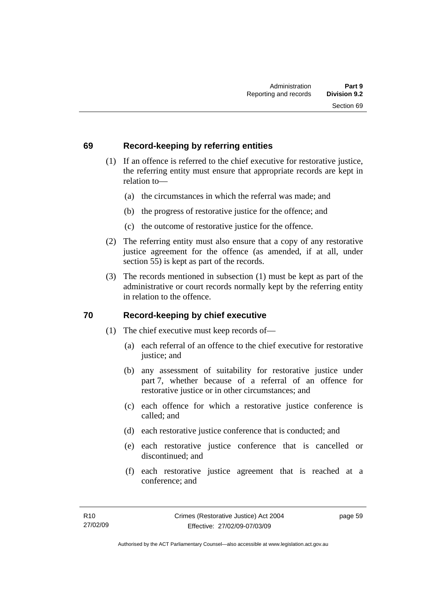## **69 Record-keeping by referring entities**

- (1) If an offence is referred to the chief executive for restorative justice, the referring entity must ensure that appropriate records are kept in relation to—
	- (a) the circumstances in which the referral was made; and
	- (b) the progress of restorative justice for the offence; and
	- (c) the outcome of restorative justice for the offence.
- (2) The referring entity must also ensure that a copy of any restorative justice agreement for the offence (as amended, if at all, under section 55) is kept as part of the records.
- (3) The records mentioned in subsection (1) must be kept as part of the administrative or court records normally kept by the referring entity in relation to the offence.

## **70 Record-keeping by chief executive**

- (1) The chief executive must keep records of—
	- (a) each referral of an offence to the chief executive for restorative justice; and
	- (b) any assessment of suitability for restorative justice under part 7, whether because of a referral of an offence for restorative justice or in other circumstances; and
	- (c) each offence for which a restorative justice conference is called; and
	- (d) each restorative justice conference that is conducted; and
	- (e) each restorative justice conference that is cancelled or discontinued; and
	- (f) each restorative justice agreement that is reached at a conference; and

page 59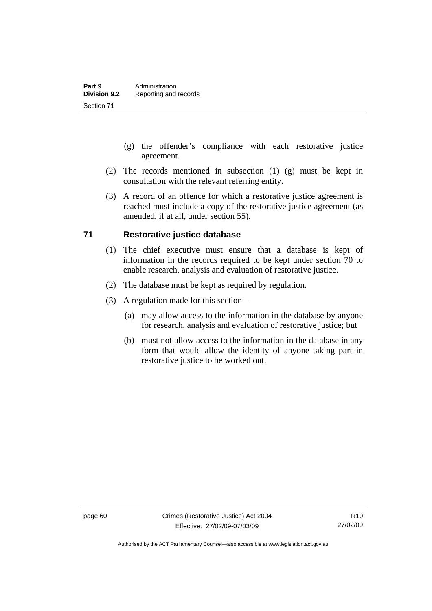- (g) the offender's compliance with each restorative justice agreement.
- (2) The records mentioned in subsection (1) (g) must be kept in consultation with the relevant referring entity.
- (3) A record of an offence for which a restorative justice agreement is reached must include a copy of the restorative justice agreement (as amended, if at all, under section 55).

## **71 Restorative justice database**

- (1) The chief executive must ensure that a database is kept of information in the records required to be kept under section 70 to enable research, analysis and evaluation of restorative justice.
- (2) The database must be kept as required by regulation.
- (3) A regulation made for this section—
	- (a) may allow access to the information in the database by anyone for research, analysis and evaluation of restorative justice; but
	- (b) must not allow access to the information in the database in any form that would allow the identity of anyone taking part in restorative justice to be worked out.

Authorised by the ACT Parliamentary Counsel—also accessible at www.legislation.act.gov.au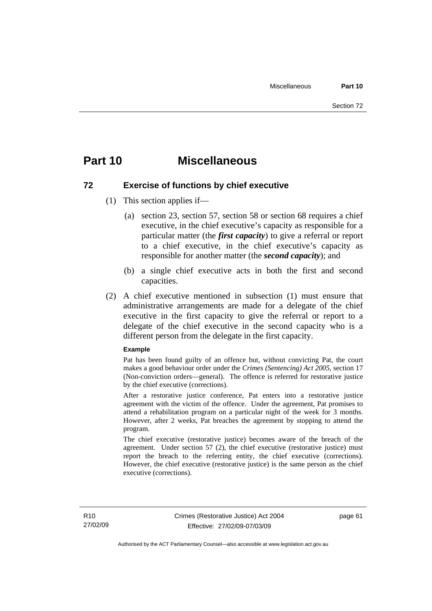## **Part 10 Miscellaneous**

## **72 Exercise of functions by chief executive**

- (1) This section applies if—
	- (a) section 23, section 57, section 58 or section 68 requires a chief executive, in the chief executive's capacity as responsible for a particular matter (the *first capacity*) to give a referral or report to a chief executive, in the chief executive's capacity as responsible for another matter (the *second capacity*); and
	- (b) a single chief executive acts in both the first and second capacities.
- (2) A chief executive mentioned in subsection (1) must ensure that administrative arrangements are made for a delegate of the chief executive in the first capacity to give the referral or report to a delegate of the chief executive in the second capacity who is a different person from the delegate in the first capacity.

#### **Example**

Pat has been found guilty of an offence but, without convicting Pat, the court makes a good behaviour order under the *Crimes (Sentencing) Act 2005*, section 17 (Non-conviction orders—general). The offence is referred for restorative justice by the chief executive (corrections).

After a restorative justice conference, Pat enters into a restorative justice agreement with the victim of the offence. Under the agreement, Pat promises to attend a rehabilitation program on a particular night of the week for 3 months. However, after 2 weeks, Pat breaches the agreement by stopping to attend the program.

The chief executive (restorative justice) becomes aware of the breach of the agreement. Under section 57 (2), the chief executive (restorative justice) must report the breach to the referring entity, the chief executive (corrections). However, the chief executive (restorative justice) is the same person as the chief executive (corrections).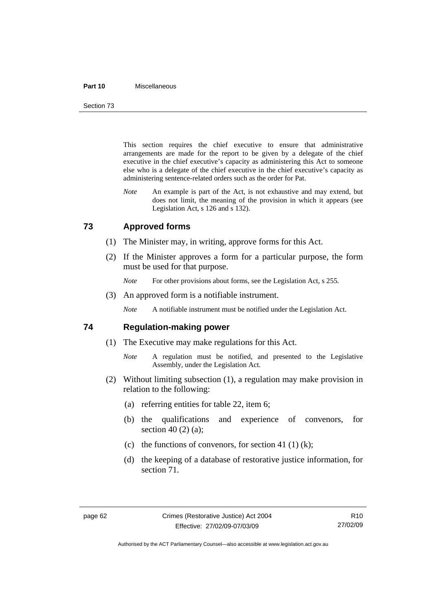#### **Part 10** Miscellaneous

Section 73

This section requires the chief executive to ensure that administrative arrangements are made for the report to be given by a delegate of the chief executive in the chief executive's capacity as administering this Act to someone else who is a delegate of the chief executive in the chief executive's capacity as administering sentence-related orders such as the order for Pat.

*Note* An example is part of the Act, is not exhaustive and may extend, but does not limit, the meaning of the provision in which it appears (see Legislation Act, s 126 and s 132).

## **73 Approved forms**

- (1) The Minister may, in writing, approve forms for this Act.
- (2) If the Minister approves a form for a particular purpose, the form must be used for that purpose.
	- *Note* For other provisions about forms, see the Legislation Act, s 255.
- (3) An approved form is a notifiable instrument.

*Note* A notifiable instrument must be notified under the Legislation Act.

### **74 Regulation-making power**

- (1) The Executive may make regulations for this Act.
	- *Note* A regulation must be notified, and presented to the Legislative Assembly, under the Legislation Act.
- (2) Without limiting subsection (1), a regulation may make provision in relation to the following:
	- (a) referring entities for table 22, item 6;
	- (b) the qualifications and experience of convenors, for section 40 (2) (a);
	- (c) the functions of convenors, for section 41 (1) (k);
	- (d) the keeping of a database of restorative justice information, for section 71.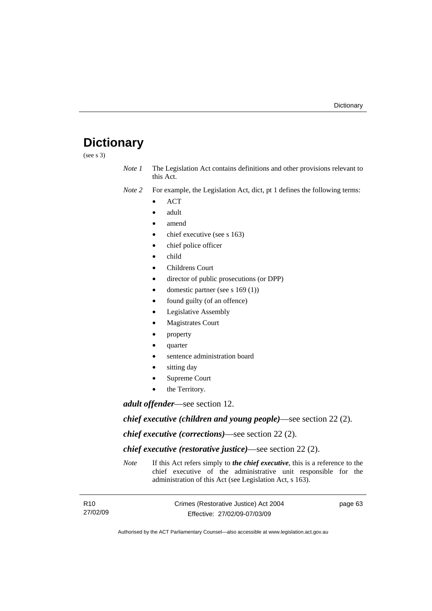# **Dictionary**

(see s 3)

*Note 1* The Legislation Act contains definitions and other provisions relevant to this Act.

*Note 2* For example, the Legislation Act, dict, pt 1 defines the following terms:

- ACT
- adult
- amend
- chief executive (see s 163)
- chief police officer
- child
- Childrens Court
- director of public prosecutions (or DPP)
- domestic partner (see s 169 (1))
- found guilty (of an offence)
- Legislative Assembly
- **Magistrates Court**
- property
- quarter
- sentence administration board
- sitting day
- Supreme Court
- the Territory.

*adult offender*—see section 12.

*chief executive (children and young people)*—see section 22 (2).

*chief executive (corrections)*—see section 22 (2).

*chief executive (restorative justice)*—see section 22 (2).

*Note* If this Act refers simply to *the chief executive*, this is a reference to the chief executive of the administrative unit responsible for the administration of this Act (see Legislation Act, s 163).

| R <sub>10</sub> | Crimes (Restorative Justice) Act 2004 | page 63 |
|-----------------|---------------------------------------|---------|
| 27/02/09        | Effective: 27/02/09-07/03/09          |         |

Authorised by the ACT Parliamentary Counsel—also accessible at www.legislation.act.gov.au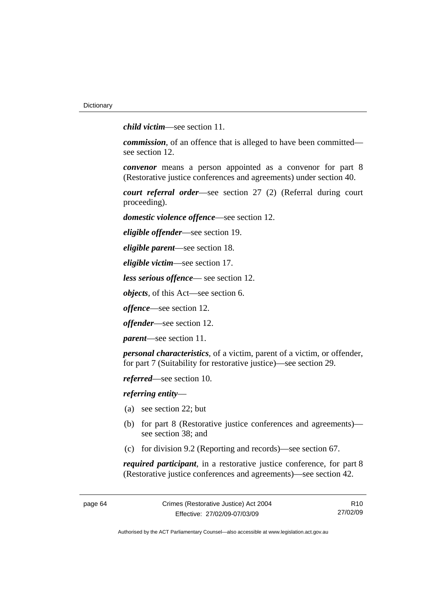*child victim*—see section 11.

*commission*, of an offence that is alleged to have been committed see section 12.

*convenor* means a person appointed as a convenor for part 8 (Restorative justice conferences and agreements) under section 40.

*court referral order*—see section 27 (2) (Referral during court proceeding).

*domestic violence offence*—see section 12.

*eligible offender*—see section 19.

*eligible parent*—see section 18.

*eligible victim*—see section 17.

*less serious offence*— see section 12.

*objects*, of this Act—see section 6.

*offence*—see section 12.

*offender*—see section 12.

*parent*—see section 11.

*personal characteristics*, of a victim, parent of a victim, or offender, for part 7 (Suitability for restorative justice)—see section 29.

*referred*—see section 10.

*referring entity*—

- (a) see section 22; but
- (b) for part 8 (Restorative justice conferences and agreements) see section 38; and
- (c) for division 9.2 (Reporting and records)—see section 67.

*required participant*, in a restorative justice conference, for part 8 (Restorative justice conferences and agreements)—see section 42.

R10 27/02/09

Authorised by the ACT Parliamentary Counsel—also accessible at www.legislation.act.gov.au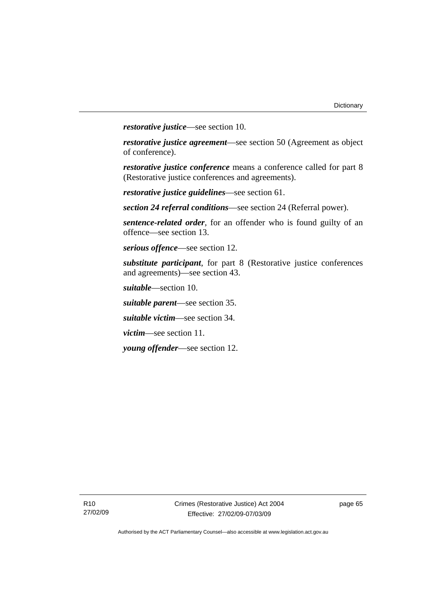*restorative justice*—see section 10.

*restorative justice agreement*—see section 50 (Agreement as object of conference).

*restorative justice conference* means a conference called for part 8 (Restorative justice conferences and agreements).

*restorative justice guidelines*—see section 61.

*section 24 referral conditions*—see section 24 (Referral power).

*sentence-related order*, for an offender who is found guilty of an offence—see section 13.

*serious offence*—see section 12.

*substitute participant*, for part 8 (Restorative justice conferences and agreements)—see section 43.

*suitable*—section 10.

*suitable parent*—see section 35.

*suitable victim*—see section 34.

*victim*—see section 11.

*young offender*—see section 12.

page 65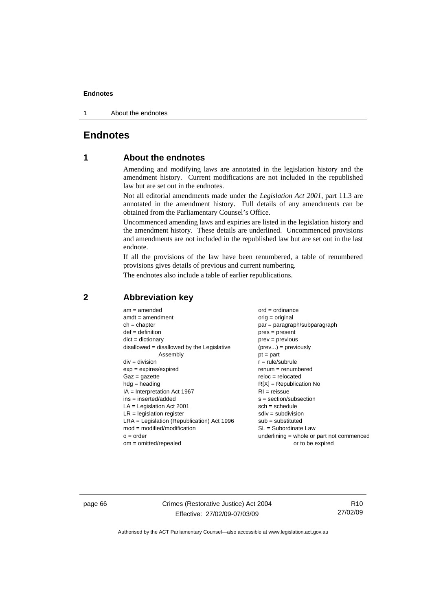1 About the endnotes

## **Endnotes**

## **1 About the endnotes**

Amending and modifying laws are annotated in the legislation history and the amendment history. Current modifications are not included in the republished law but are set out in the endnotes.

Not all editorial amendments made under the *Legislation Act 2001*, part 11.3 are annotated in the amendment history. Full details of any amendments can be obtained from the Parliamentary Counsel's Office.

Uncommenced amending laws and expiries are listed in the legislation history and the amendment history. These details are underlined. Uncommenced provisions and amendments are not included in the republished law but are set out in the last endnote.

If all the provisions of the law have been renumbered, a table of renumbered provisions gives details of previous and current numbering.

The endnotes also include a table of earlier republications.

| $am = amended$                               | $ord = ordinance$                           |
|----------------------------------------------|---------------------------------------------|
| $amdt = amendment$                           | $orig = original$                           |
| $ch = chapter$                               | $par = paragraph/subparagraph$              |
| $def = definition$                           | $pres = present$                            |
| $dict = dictionary$                          | $prev = previous$                           |
| disallowed = disallowed by the Legislative   | $(\text{prev}) = \text{previously}$         |
| Assembly                                     | $pt = part$                                 |
| $div = division$                             | $r = rule/subrule$                          |
| $exp = expires/expired$                      | $remum = renumbered$                        |
| $Gaz = gazette$                              | $reloc = relocated$                         |
| $hdg =$ heading                              | $R[X]$ = Republication No                   |
| $IA = Interpretation Act 1967$               | $RI = reissue$                              |
| $ins = inserted/added$                       | $s = section/subsection$                    |
| $LA =$ Legislation Act 2001                  | $sch = schedule$                            |
| $LR =$ legislation register                  | $sdiv = subdivision$                        |
| $LRA =$ Legislation (Republication) Act 1996 | $sub =$ substituted                         |
| $mod = modified/modification$                | SL = Subordinate Law                        |
| $o = order$                                  | underlining $=$ whole or part not commenced |
| $om = omitted/repealed$                      | or to be expired                            |
|                                              |                                             |

## **2 Abbreviation key**

page 66 Crimes (Restorative Justice) Act 2004 Effective: 27/02/09-07/03/09

R10 27/02/09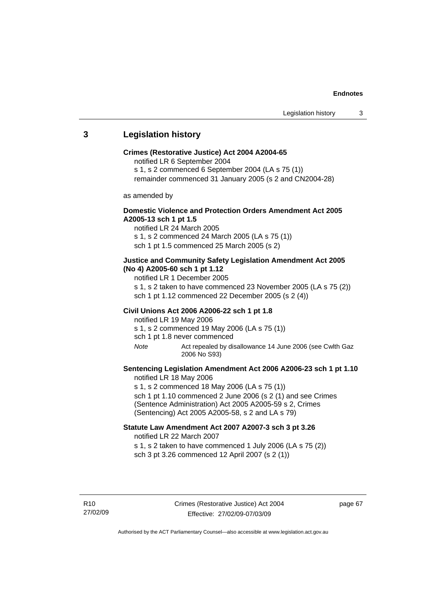## **3 Legislation history**

#### **Crimes (Restorative Justice) Act 2004 A2004-65**

notified LR 6 September 2004

s 1, s 2 commenced 6 September 2004 (LA s 75 (1))

remainder commenced 31 January 2005 (s 2 and CN2004-28)

as amended by

## **Domestic Violence and Protection Orders Amendment Act 2005 A2005-13 sch 1 pt 1.5**

notified LR 24 March 2005 s 1, s 2 commenced 24 March 2005 (LA s 75 (1)) sch 1 pt 1.5 commenced 25 March 2005 (s 2)

### **Justice and Community Safety Legislation Amendment Act 2005 (No 4) A2005-60 sch 1 pt 1.12**

notified LR 1 December 2005

s 1, s 2 taken to have commenced 23 November 2005 (LA s 75 (2)) sch 1 pt 1.12 commenced 22 December 2005 (s 2 (4))

#### **Civil Unions Act 2006 A2006-22 sch 1 pt 1.8**

notified LR 19 May 2006 s 1, s 2 commenced 19 May 2006 (LA s 75 (1)) sch 1 pt 1.8 never commenced

*Note* Act repealed by disallowance 14 June 2006 (see Cwlth Gaz 2006 No S93)

## **Sentencing Legislation Amendment Act 2006 A2006-23 sch 1 pt 1.10**  notified LR 18 May 2006

s 1, s 2 commenced 18 May 2006 (LA s 75 (1)) sch 1 pt 1.10 commenced 2 June 2006 (s 2 (1) and see Crimes (Sentence Administration) Act 2005 A2005-59 s 2, Crimes (Sentencing) Act 2005 A2005-58, s 2 and LA s 79)

## **Statute Law Amendment Act 2007 A2007-3 sch 3 pt 3.26**  notified LR 22 March 2007

s 1, s 2 taken to have commenced 1 July 2006 (LA s 75 (2)) sch 3 pt 3.26 commenced 12 April 2007 (s 2 (1))

R10 27/02/09 page 67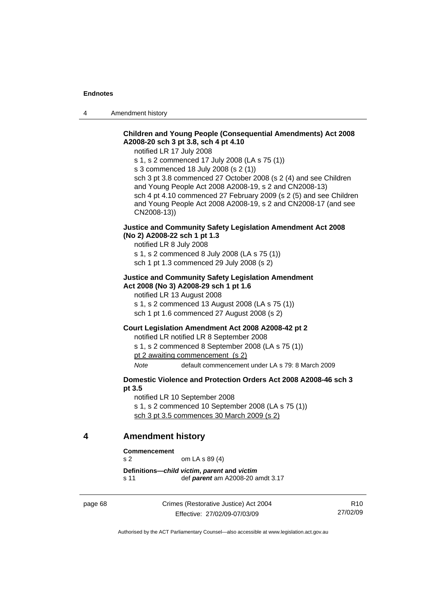4 Amendment history

## **Children and Young People (Consequential Amendments) Act 2008 A2008-20 sch 3 pt 3.8, sch 4 pt 4.10**

notified LR 17 July 2008

s 1, s 2 commenced 17 July 2008 (LA s 75 (1))

s 3 commenced 18 July 2008 (s 2 (1))

sch 3 pt 3.8 commenced 27 October 2008 (s 2 (4) and see Children and Young People Act 2008 A2008-19, s 2 and CN2008-13) sch 4 pt 4.10 commenced 27 February 2009 (s 2 (5) and see Children and Young People Act 2008 A2008-19, s 2 and CN2008-17 (and see CN2008-13))

## **Justice and Community Safety Legislation Amendment Act 2008 (No 2) A2008-22 sch 1 pt 1.3**

notified LR 8 July 2008 s 1, s 2 commenced 8 July 2008 (LA s 75 (1))

sch 1 pt 1.3 commenced 29 July 2008 (s 2)

### **Justice and Community Safety Legislation Amendment Act 2008 (No 3) A2008-29 sch 1 pt 1.6**

notified LR 13 August 2008

s 1, s 2 commenced 13 August 2008 (LA s 75 (1)) sch 1 pt 1.6 commenced 27 August 2008 (s 2)

#### **Court Legislation Amendment Act 2008 A2008-42 pt 2**

notified LR notified LR 8 September 2008 s 1, s 2 commenced 8 September 2008 (LA s 75 (1))

pt 2 awaiting commencement (s 2)

*Note* default commencement under LA s 79: 8 March 2009

## **Domestic Violence and Protection Orders Act 2008 A2008-46 sch 3 pt 3.5**

notified LR 10 September 2008

s 1, s 2 commenced 10 September 2008 (LA s 75 (1)) sch 3 pt 3.5 commences 30 March 2009 (s 2)

## **4 Amendment history**

#### **Commencement**

s 2 om LA s 89 (4)

**Definitions—***child victim***,** *parent* **and** *victim* s 11 def *parent* am A2008-20 amdt 3.17

page 68 Crimes (Restorative Justice) Act 2004 Effective: 27/02/09-07/03/09

R10 27/02/09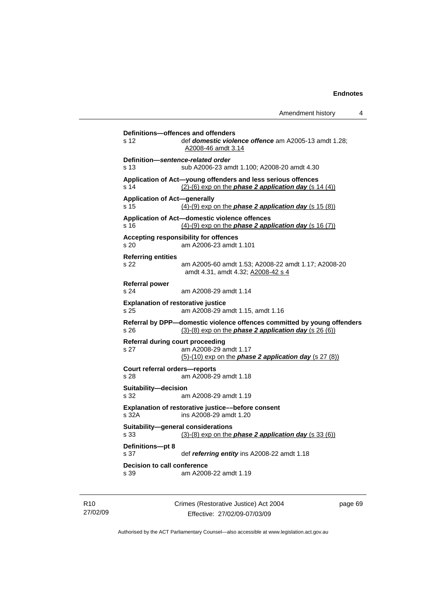| Amendment history                    |  |  |
|--------------------------------------|--|--|
|                                      |  |  |
| <b>ffence</b> am A2005-13 amdt 1.28; |  |  |

```
s 12 def domestic violence of
                 A2008-46 amdt 3.14
Definition—sentence-related order 
s 13 sub A2006-23 amdt 1.100; A2008-20 amdt 4.30 
Application of Act—young offenders and less serious offences 
s 14 (2)-(6) exp on the phase 2 application day (s 14 (4))
Application of Act—generally 
s 15 (4)-(9) exp on the phase 2 application day (s 15 (8))
Application of Act—domestic violence offences 
s 16 (4)-(9) exp on the phase 2 application day (s 16 (7))
Accepting responsibility for offences 
s 20 am A2006-23 amdt 1.101 
Referring entities 
s 22 am A2005-60 amdt 1.53; A2008-22 amdt 1.17; A2008-20 
                 amdt 4.31, amdt 4.32; A2008-42 s 4
Referral power 
s 24 am A2008-29 amdt 1.14 
Explanation of restorative justice 
s 25 am A2008-29 amdt 1.15, amdt 1.16 
Referral by DPP—domestic violence offences committed by young offenders 
s 26 (3)-(8) exp on the phase 2 application day (s 26 (6))
Referral during court proceeding 
s 27 am A2008-29 amdt 1.17 
                 (5)-(10) exp on the phase 2 application day (s 27 (8))
Court referral orders—reports 
s 28 am A2008-29 amdt 1.18 
Suitability—decision 
s 32 am A2008-29 amdt 1.19 
Explanation of restorative justice––before consent 
s 32A ins A2008-29 amdt 1.20 
Suitability—general considerations 
s 33 (3)-(8) exp on the phase 2 application day (s 33 (6))
Definitions—pt 8 
s 37 def referring entity ins A2008-22 amdt 1.18 
Decision to call conference 
s 39 am A2008-22 amdt 1.19
```
**Definitions—offences and offenders** 

| R10      |
|----------|
| 27/02/09 |

Crimes (Restorative Justice) Act 2004 Effective: 27/02/09-07/03/09

page 69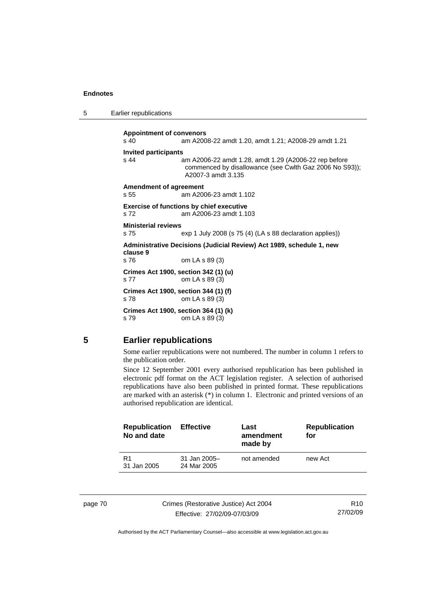| 5 |  | Earlier republications |
|---|--|------------------------|
|---|--|------------------------|

**Appointment of convenors**  s 40 am A2008-22 amdt 1.20, amdt 1.21; A2008-29 amdt 1.21 **Invited participants**  s 44 am A2006-22 amdt 1.28, amdt 1.29 (A2006-22 rep before commenced by disallowance (see Cwlth Gaz 2006 No S93)); A2007-3 amdt 3.135 **Amendment of agreement**  s 55 am A2006-23 amdt 1.102 **Exercise of functions by chief executive**  s 72 am A2006-23 amdt 1.103 **Ministerial reviews**  s 75 exp 1 July 2008 (s 75 (4) (LA s 88 declaration applies)) **Administrative Decisions (Judicial Review) Act 1989, schedule 1, new clause 9**  s 76 om LA s 89 (3) **Crimes Act 1900, section 342 (1) (u)**  s 77 om LA s 89 (3) **Crimes Act 1900, section 344 (1) (f)**  s 78 om LA s 89 (3) **Crimes Act 1900, section 364 (1) (k)**  s 79 om LA s 89 (3)

## **5 Earlier republications**

Some earlier republications were not numbered. The number in column 1 refers to the publication order.

Since 12 September 2001 every authorised republication has been published in electronic pdf format on the ACT legislation register. A selection of authorised republications have also been published in printed format. These republications are marked with an asterisk (\*) in column 1. Electronic and printed versions of an authorised republication are identical.

| <b>Republication</b><br>No and date | <b>Effective</b>              | Last<br>amendment<br>made by | <b>Republication</b><br>for |
|-------------------------------------|-------------------------------|------------------------------|-----------------------------|
| R <sub>1</sub><br>31 Jan 2005       | $31$ Jan 2005-<br>24 Mar 2005 | not amended                  | new Act                     |
|                                     |                               |                              |                             |

page 70 Crimes (Restorative Justice) Act 2004 Effective: 27/02/09-07/03/09

R10 27/02/09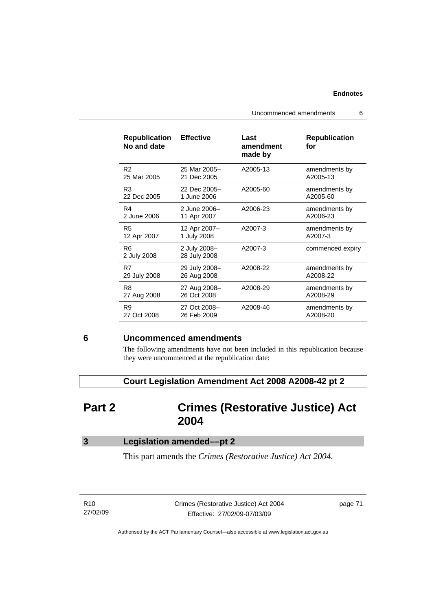Uncommenced amendments 6

| <b>Republication</b><br>No and date | <b>Effective</b>             | Last<br>amendment<br>made by | <b>Republication</b><br>for |
|-------------------------------------|------------------------------|------------------------------|-----------------------------|
| R <sub>2</sub>                      | 25 Mar 2005-                 | A2005-13                     | amendments by               |
| 25 Mar 2005                         | 21 Dec 2005                  |                              | A2005-13                    |
| R <sub>3</sub>                      | 22 Dec 2005-                 | A2005-60                     | amendments by               |
| 22 Dec 2005                         | 1 June 2006                  |                              | A2005-60                    |
| R4                                  | 2 June 2006-                 | A2006-23                     | amendments by               |
| 2 June 2006                         | 11 Apr 2007                  |                              | A2006-23                    |
| R <sub>5</sub>                      | 12 Apr 2007-                 | A2007-3                      | amendments by               |
| 12 Apr 2007                         | 1 July 2008                  |                              | A2007-3                     |
| R <sub>6</sub><br>2 July 2008       | 2 July 2008-<br>28 July 2008 | A2007-3                      | commenced expiry            |
| R7                                  | 29 July 2008-                | A2008-22                     | amendments by               |
| 29 July 2008                        | 26 Aug 2008                  |                              | A2008-22                    |
| R8                                  | 27 Aug 2008-                 | A2008-29                     | amendments by               |
| 27 Aug 2008                         | 26 Oct 2008                  |                              | A2008-29                    |
| R9                                  | 27 Oct 2008-                 | A2008-46                     | amendments by               |
| 27 Oct 2008                         | 26 Feb 2009                  |                              | A2008-20                    |

## **6 Uncommenced amendments**

The following amendments have not been included in this republication because they were uncommenced at the republication date:

 **Court Legislation Amendment Act 2008 A2008-42 pt 2** 

# **Part 2 Crimes (Restorative Justice) Act 2004**

| Legislation amended-pt 2 |  |
|--------------------------|--|
|--------------------------|--|

This part amends the *Crimes (Restorative Justice) Act 2004*.

R10 27/02/09 Crimes (Restorative Justice) Act 2004 Effective: 27/02/09-07/03/09

page 71